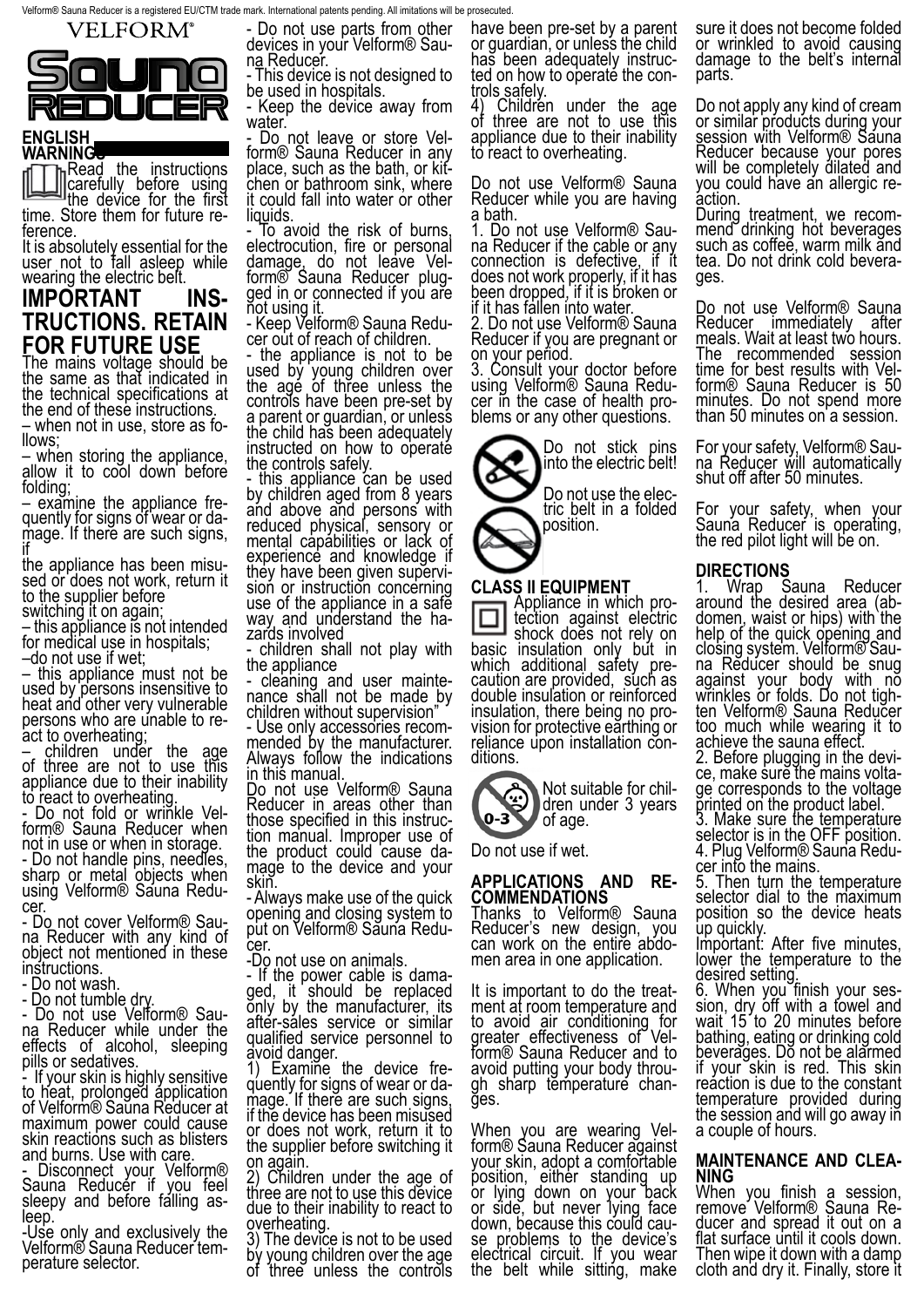

#### **ENGLISH WARNINGC**

**In Read the instructions** carefully before using the device for the first time. Store them for future re- ference.

It is absolutely essential for the user not to fall asleep while wearing the electric belt.

### **IMPORTANT INS- TRUCTIONS. RETAIN FOR FUTURE USE**

The mains voltage should be the same as that indicated in the technical specifications at the end of these instructions.

– when not in use, store as fo-<br>llows: when storing the appliance.

allow it to cool down before folding;<br>- examine the appliance fre-

– examine the appliance fre-<br>quently for signs of wear or da-<br>mage. If there are such signs, if

the appliance has been misu- sed or does not work, return it to the supplier before switching it on again;

– this appliance is not intended for medical use in hospitals;

–do not use if wet;

– this appliance must not be used by persons insensitive to heat and other very vulnerable persons who are unable to re-<br>act to overheating;

– children under the age of three are not to use this appliance due to their inability to react to overheating.

- Do not fold or wrinkle Vel- form® Sauna Reducer when not in use or when in storage. - Do not handle pins, needles, sharp or metal objects when

using Velform® Sauna Redu-<br>cer.

- Do not cover Velform® Sau- na Reducer with any kind of object not mentioned in these instructions.

- Do not wash.

- Do not tumble dry.

- Do not use Velform® Sau- na Reducer while under the na Reducer while under the<br>effects of alcohol, sleeping pills or sedatives.

- If your skin is highly sensitive to heat, prolonged application of Velform® Sauna Reducer at maximum power could cause skin reactions such as blisters and burns. Use with care.

- Disconnect your Velform® Sauna Reducer if you feel sleepy and before falling as-<br>leep.

-Use only and exclusively the Velform® Sauna Reducer tem-<br>perature selector.

- Do not use parts from other devices in your Velform® Sau- na Reducer.

- This device is not designed to be used in hospitals.

- Keep the device away from water.

- Do not leave or store Vel-<br>form® Sauna Reducer in any<br>place, such as the bath, or kitchen or bathroom sink, where it could fall into water or other liquids.

To avoid the risk of burns, electrocution, fire or personal damage, do not leave Vel-<br>form® Sauna Reducer plug-<br>ged in or connected if you are not using it.

- Keep Velform® Sauna Redu- cer out of reach of children.

the appliance is not to be used by young children over the age of three unless the controls have been pre-set by a parent or guardian, or unless the child has been adequately instructed on how to operate the controls safely.

- this appliance can be used by children aged from 8 years and above and persons with reduced physical, sensory or mental capabilities or lack of experience and knowledge if they have been given supervi-<br>sion or instruction concerning sion or instruction concerning<br>use of the appliance in a safe way and understand the ha-<br>zards involved

- children shall not play with the appliance

- cleaning and user mainte-<br>nance shall not be made by children without supervision"

- Use only accessories recom- mended by the manufacturer. Always follow the indications in this manual.

Do not use Velform® Sauna Reducer in areas other than<br>those specified in this instructhose specified in this instruc-<br>tion manual. Improper use of the product could cause da-<br>mage to the device and your mage to the device and your<br>skin.

- Always make use of the quick opening and closing system to put on Velform® Sauna Redu-<br>cer.

-Do not use on animals.

- If the power cable is dama- ged, it should be replaced only by the manufacturer, its after-sales service or similar qualified service personnel to avoid danger.

1) Examine the device fre- quently for signs of wear or da- mage. If there are such signs, if the device has been misused or does not work, return it to the supplier before switching it on again.

2) Children under the age of three are not to use this device due to their inability to react to overheating.

3) The device is not to be used by young children over the age of three unless the controls have been pre-set by a parent or guardian, or unless the child ted on how to operaté the con-<br>trols safely.<br>4) Children under the age

Children under the age of three are not to use this appliance due to their inability to react to overheating.

Do not use Velform® Sauna Reducer while you are having

a bath.<br>1. Do not use Velform® Sauna Reducer if the cable or any connection is defective, if it does not work properly, if it has been dropped, if it is broken or if it has fallen into water.

2. Do not use Velform® Sauna Reducer if you are pregnant or on your period.

3. Consult your doctor before using Velform® Sauna Redu-<br>cer in the case of health pro-<br>blems or any other questions.



**CLASS II EQUIPMENT**<br> **Appliance in which pro-**Appliance in which pro- tection against electric shock does not rely on<br>basic insulation only but in which additional safety pre- caution are provided, such as double insulation or reinforced<br>insulation, there being no provision for protective earthing or reliance upon installation con-<br>ditions.



Do not use if wet.

### **APPLICATIONS AND RE- COMMENDATIONS**

Thanks to Velform® Sauna Reducer's new design, you can work on the entire abdo- men area in one application.

It is important to do the treat- ment at room temperature and to avoid air conditioning for greater effectiveness of Vel- form® Sauna Reducer and to avoid putting your body throu- gh sharp temperature chan- ges.

When you are wearing Vel-<br>form® Sauna Reducer against your skin, adopt a comfortable position, either standing up or lying down on your back or side, but never lying face down, because this could cau-<br>se problems to the device's electrical circuit. If you wear the belt while sitting, make

sure it does not become folded or wrinkled to avoid causing damage to the belt's internal parts.

Do not apply any kind of cream or similar products during your session with Velform<sup>®</sup> Sauna Reducer because your pores will be completely dilated and you could have an allergic re-<br>action.

During treatment, we recom-<br>mend drinking hot beverages such as coffee, warm milk and tea. Do not drink cold bevera- ges.

Do not use Velform® Sauna Reducer immediately after meals. Wait at least two hours. The recommended session<br>time\_for\_best results\_with\_Velform® Sauna Reducer is 50 minutes. Do not spend more than 50 minutes on a session.

For your safety, Velform® Sau- na Reducer will automatically shut off after 50 minutes.

For your safety, when your Sauna Reducer is operating, the red pilot light will be on.

### **DIRECTIONS**<br>1 Wrap S

1. Wrap Sauna Reducer around the desired area (ab- domen, waist or hips) with the help of the quick opening and closing system. Velform® Sau- na Reducer should be snug against your body with no wrinkles or folds. Do not tigh-<br>ten Velform® Sauna Reducer too much while wearing it to achieve the sauna effect. 2. Before plugging in the devi- ce, make sure the mains volta- ge corresponds to the voltage

ge corresponds to the voltage<br>printed on the product label. 3. Make sure the temperature selector is in the OFF position.

4. Plug Velform® Sauna Redu-<br>cer\_into the mains. cer into the mains.<br>5. Then turn the temperature

selector dial to the maximum position so the device heats up quickly.

Important: After five minutes, lower the temperature to the desired setting.<br>6. When you finish your ses-

6. When you finish your ses- sion, dry off with a towel and wait 15 to 20 minutes before bathing, eating or drinking cold beverages. Do not be alarmed if your skin is red. This skin reáction is due to the constant temperature provided during the session and will go away in a couple of hours.

### **MAINTENANCE AND CLEA- NING**

When you finish a session, remove Velform® Sauna Re-<br>ducer and spread it out on a flat surface until it cools down. Then wipe it down with a damp cloth and dry it. Finally, store it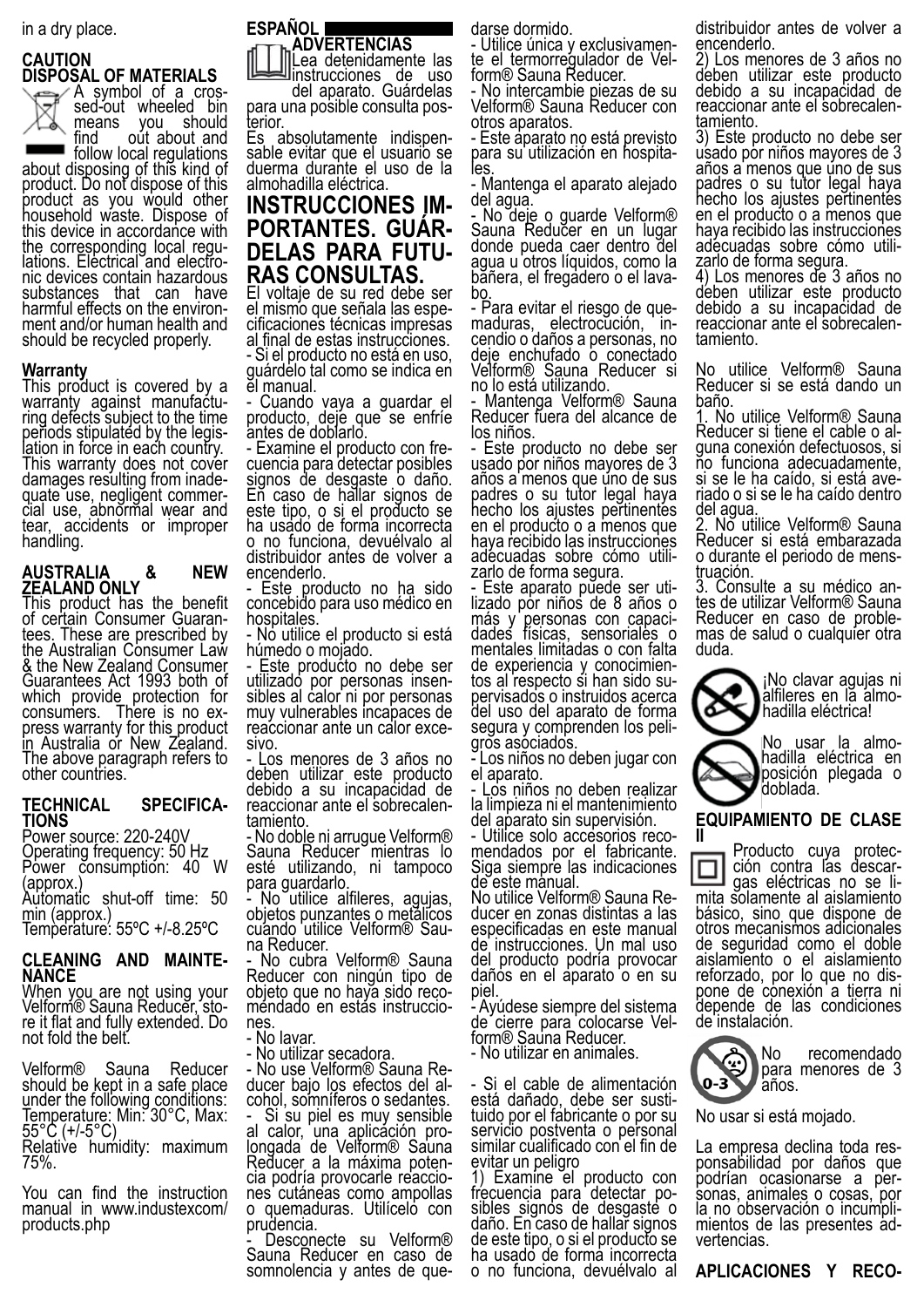in a dry place.

### **CAUTION DISPOSAL OF MATERIALS**



A symbol of a cros-<br>sed-out wheeled bin<br>means you should you should

find out about and<br>follow local regulations about disposing of this kind of product. Do not dispose of this product as you would other household waste. Dispose of this device in accordance with<br>the corresponding local regulations. Electrical and electro-<br>nic devices contain hazardous substances that can have harmful effects on the environ- ment and/or human health and should be recycled properly.

### **Warranty**

This product is covered by a<br>warranty against manufactuwarranty against manufactu-<br>ring defects subject to the time periods stipulated by the legis-<br>lation in force in each country. lation in force in each country.<br>This warranty does not cover<br>damages resulting from inadequate use, negligent commer-<br>cial use, abnormal wear and tear, accidents or improper handling.

### **AUSTRALIA & NEW ZEALAND ONLY**

This product has the benefit<br>of certain Consumer Guaranof certain Consumer Guaran-<br>tees. These are prescribed by the Australian Consumer Law & the New Zealand Consumer Guarantees Act 1993 both of which provide protection for consumers. There is no ex- press warranty for this product press warranty for this product<br>in Australia or New Zealand. The above paragraph refers to other countries.

### **TECHNICAL SPECIFICA- TIONS**

Power source: 220-240V Operating frequency: 50 Hz Power consumption: 40 W (approx.) Automatic shut-off time: 50

min (approx.) Temperature: 55ºC +/-8.25ºC

## **CLEANING AND MAINTE- NANCE**

When you are not using your Velform® Sauna Reducĕr, sto-<br>re it flat and fully extended. Do re it flat and fully extended. Do<br>not fold the belt.

Velform® Sauna Reducer should be kept in a safe place under the following conditions: Temperature: Min: 30°C, Max: 55°C (+/-5°C)

Relative humidity: maximum 75%.

You can find the instruction manual in www.industexcom/ products.php

#### **ESPAÑOL ADVERTENCIAS**

Lea detenidamente las instrucciones de uso

del aparato. Guárdelas<br>para una posible consulta pos-<br>terior.

Es absolutamente indispen- sable evitar que el usuario se duerma durante el uso de la almohadilla eléctrica.

# **INSTRUCCIONES IM- PORTANTES. GUÁR- DELAS PARA FUTU- RAS CONSULTAS.**

El voltaje de su red debe ser el mismo que señala las espe- cificaciones técnicas impresas al final de estas instrucciones.

- Si el producto no está en uso, guárdelo tal como se indica en el manual.

- Cuando vaya a guardar el producto, deje que se enfríe antes de doblarlo.

- Examine el producto con fre- cuencia para detectar posibles signos de desgaste o daño. En caso de hallar signos de este tipo, o si el producto se ha usado de forma incorrecta o no funciona, devuélvalo al distribuidor antes de volver a encenderlo.

- Este producto no ha sido concebido para uso médico en hospitales.

No utilice el producto si está húmedo o mojado.

- Este producto no debe ser utilizado por personas insen- sibles al calor ni por personas muy vulnerables incapaces de reaccionar ante un calor exce- sivo.

- Los menores de 3 años no deben utilizar este producto debido a su incapacidad de reaccionar ante el sobrecalen- tamiento.

- No doble ni arrugue Velform® Sauna Reducer mientras lo esté utilizando, ni tampoco para guardarlo.

No utilice alfileres, agujas, objetos punzantes o metálicos cuando utilice Velform® Sau-<br>na Reducer.

No cubra Velform<sup>®</sup> Sauna Reducer con ningún tipo de objeto que no haya sido reco- mendado en estas instruccio- nes. - No lavar.

- No utilizar secadora.

- No use Velform® Sauna Re-<br>ducer bajo los efectos del al-<br>cohol, somníferos o sedantes.

- Si su piel es muy sensible al calor, una aplicáción pro-<br>longada de Velform® Sauna Reducer a la máxima poten-<br>cia podría provocarle reaccio-<br>nes cutáneas como ampollas o quemaduras. Utilícelo con prudencia.

Desconecte su Velform® Sauna Reducer en caso de somnolencia y antes de que-

darse dormido.<br>- Utilice única y exclusivamente el termorregulador de Vel-<br>form® Sauna Reducer.

- No intercambie piezas de su Velform® Sauna Reducer con otros aparatos.

- Este aparato no está previsto para su utilización en hospita-<br>les.

- Mantenga el aparato alejado del agua.

- No deje o guarde Velform® Sauna Reducer en un lugar donde pueda caer dentro del agua u otros líquidos, como la băñera, el fregadero o el lava-<br>bo.<br>- Para evitar el riesgo de gue-

maduras, electrocución, in-<br>cendio o daños a personas, no deje enchufado o conectado Velform® Sauna Reducer si no lo está utilizando.

- Mantenga Velform® Sauna Reducer fuera del alcance de los niños.

- Este producto no debe ser usado por niños mayores de 3 años a menos que uno de sus padres o su tutor legal haya hecho los ajustes pertinentes en el producto o a menos que haya recibido las instrucciones adecuadas sobre cómo utili- zarlo de forma segura.

- Este aparato puede ser uti- lizado por niños de 8 años o más y personas con capaci- dades físicas, sensoriales o mentales limitadas o con falta de experiencia y conocimien- tos al respecto si han sido su- pervisados o instruidos acerca del uso del aparato de forma segura y comprenden los peli-<br>gros asociados.

- Los niños no deben jugar con el aparato.

- Los niños no deben realizar la limpieza ni el mantenimiento del aparato sin supervisión.

- Utilice solo accesorios reco- mendados por el fabricante. Siga siempre las indicaciones de este manual.

No utilice Velform® Sauna Re- ducer en zonas distintas a las especificadas en este manual de instrucciones. Un mal uso del producto podría provocar daños en el aparato o en su piel.

- Ayúdese siempre del sistema de cierre para colocarse Vel-<br>form® Sauna Reducer.

- No utilizar en animales.

- Si el cable de alimentación tuido por el fabricante o por su servicio postventa o personal similar cualificado con el fin de evitar un peligro

1) Examine el producto con frecuencia para detectar po-<br>sibles signos de desgaste o daño. En caso de hallar signos de este tipo, o si el producto se ha usado de forma incorrecta o no funciona, devuélvalo al

distribuidor antes de volver a encenderlo.

2) Los menores de 3 años no deben utilizar este producto debido a su incapacidad de reaccionar ante el sobrecalen- tamiento.

3) Este producto no debe ser usado por niños mayores de 3 años a menos que uno de sus padres o su tutor legal haya hecho los ajustes pertinentes en el producto o a menos que haya recibido las instrucciones<br>adecuadas sobre cómo utiliadécuadas sobre cómo utili-<br>zarlo de forma segura.

4) Los menores de 3 años no deben utilizar este producto debido a su incapacidad de reaccionar ante el sobrecalen-<br>tamiento.

No utilice Velform® Sauna Reducer si se está dando un baño.

1. No utilice Velform® Sauna guna conexión defectuosos, si no funciona adecuadamente, si se le ha caído, si está ave- riado o si se le ha caído dentro del agua.

2. No utilice Velform® Sauna Reducer si está embarazada o durante el periodo de mens-<br>truación.<br>3. Consulte a su médico an-

3. Consulte a su médico an- tes de utilizar Velform® Sauna Reducer en caso de proble- mas de salud o cualquier otra duda.



¡No clavar agujas ni alfileres en lă almo-<br>hadilla eléctrica!

No usar la almo- hadilla eléctrica en posición plegada o doblada.

### **EQUIPAMIENTO DE CLASE**

**II Producto cuya protec-** ción contra las descar-<br>gas eléctricas no se li-<br>mita solamente al aislamiento básico, sino que dispone de otros mecanismos adicionales de seguridad como el doble aislamiento o el aislamiento reforzado, por lo que no dis- pone de conexión a tierra ni pone de conexión a tierra ni<br>depende de las condiciones de instalación.



No recomendado para menores de 3

No usar si está mojado.

La empresa declina toda res-<br>ponsabilidad por daños que<br>podrían ocasionarse a personas, animales o cosas, por<br>la no observación o incumplimientos de las presentes ad-<br>vertencias.

**APLICACIONES Y RECO-**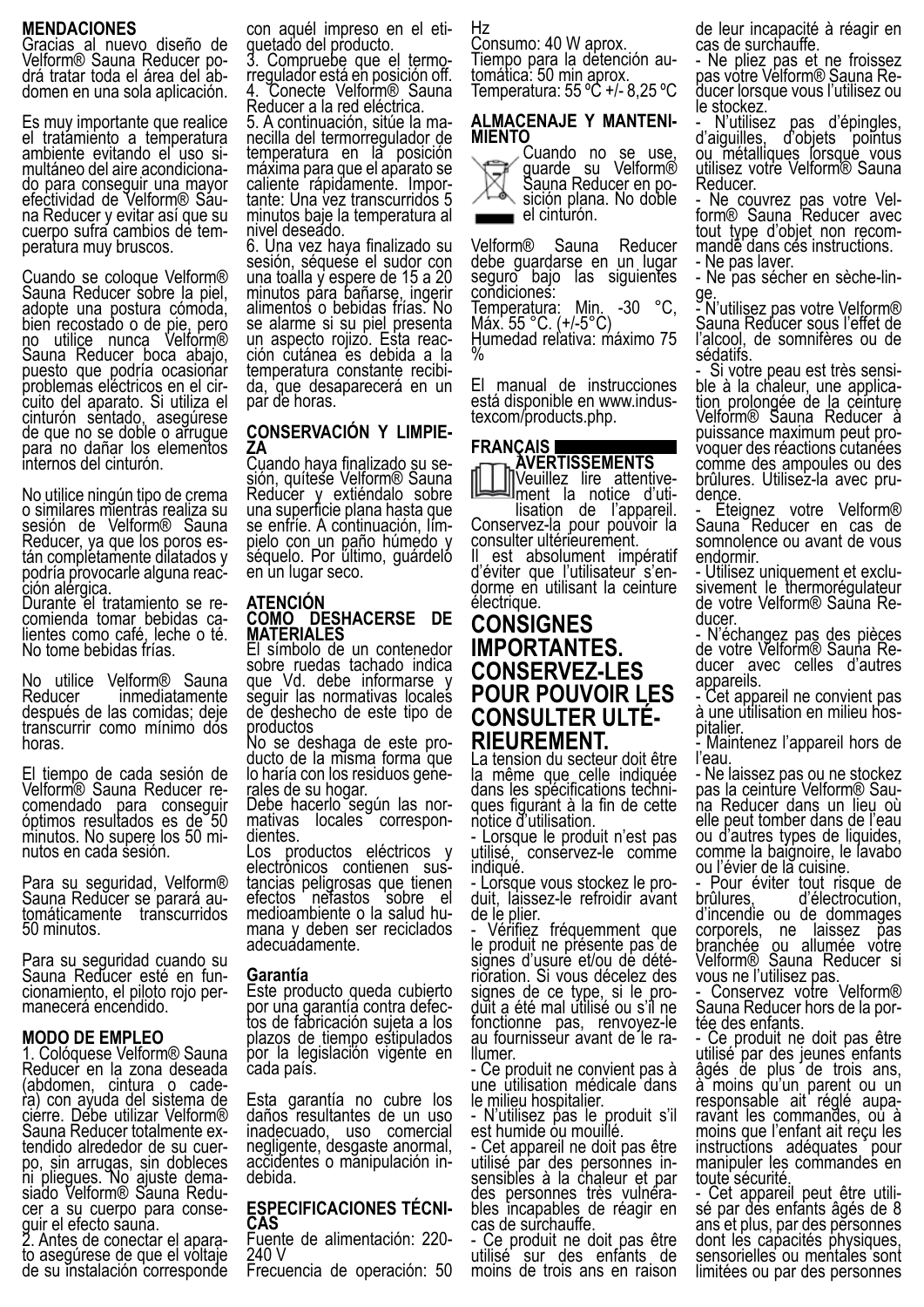#### **MENDACIONES**

Gracias al nuevo diseño de Velform® Sauna Reducer po-<br>drá tratar toda el área del ab-<br>domen en una sola aplicación.

Es muy importante que realice el tratamiento a temperatura multáneo del aire acondiciona-<br>do para conseguir una mayor<br>efectividad de Velform® Sauefectividad de Velform® Sáu-<br>na Reducer y evitar así que su cuerpo sufra cambios de tem-<br>peratura muy bruscos.

Cuando se coloque Velform® Sauna Reducer sobre la piel, adopte una postura cómoda, bien recostado o de pie, pero no utilice nunca Velform® Sauna Reducer boca abajo, puesto que podría ocasionar problemas eléctricos en el cir-<br>cuito del aparato. Si utiliza el cinturón sentado, asegúrese de que no se doble o arrugue para no dañar los elementos internos del cinturón.

No utilice ningún tipo de crema o similares mientras realiza su sesión de Velform® Sauna Reducer, ya que los poros es- tán completamente dilatados y podría provocarle alguna reac-<br>ción alérgica.<br>Durante el tratamiento se re-

comienda tomar bebidas ca-<br>lientes como café, leche o té. No tome bebidas frías.

No utilice Velform<sup>®</sup> Sauna<br>Reducer inmediatamente inmediatamente después de las comidas; deje transcurrir como mínimo dos horas.

El tiempo de cada sesión de<br>Velform® Sauna Reducer re-Velform® Sauna Reducer re-<br>comendado para conseg<u>ui</u>r óptimos resultados es de 50 minutos. No supere los 50 mi- nutos en cada sesión.

Para su seguridad, Velform® Sauna Reducer se parará au-<br>tomáticamente transcurridos 50 minutos.

Para su seguridad cuando su Sauna Reducer esté en fun- cionamiento, el piloto rojo per- manecerá encendido.

#### **MODO DE EMPLEO**

1. Colóquese Velform® Sauna Reducer en la zona deseada (abdomen, cintura o cade- ra) con ayuda del sistema de cierre. Debe utilizar Velform®<br>Sauna Reducer totalmente extendido alrededor de su cuer-<br>po, sin arrugas, sin dobleces ni pliegues. No ajuste dema-<br>siado Velform® Sauna Redu-<br>cer a su cuerpo para conse-

quir el efecto sauna.<br>2. Antes de conectar el apara-<br>to asegúrese de que el voltaje de su instalación corresponde con aquél impreso en el eti-<br>guetado del producto.

3. Compruebe que el termo-<br>rregulador está en posición off. 4. Conecte Velform® Sauna

Reducer a la red eléctrica.<br>5. A continuación, sitúe la manecilla del termorregulador de temperatura en la posición máxima para que el aparato se caliente rápidamente. Impor-<br>tante: Una vez transcurridos 5 minutos baje la temperatura al nivel deseado.

6. Una vez haya finalizado su sesión, séquese el sudor con una toalla y espere de 15 a 20 minutos para bañarse, ingerir alimentos o bebidas frías. No se alarme si su piel presenta un aspecto rojizo. Esta reac-<br>ción cutánea es debida a la ción cutánea es debida a la<br>temperatura constante recibi-<br>da, que desaparecerá en un par de horas.

# **CONSERVACIÓN Y LIMPIE- ZA**

sión, quítese Velform® Sauna Reducer y extiéndalo sobre una superficie plana hasta que se enfríe. A continuación, lím- pielo con un paño húmedo y séquelo. Por último, guárdeló en un lugar seco.

#### **ATENCIÓN COMO DESHACERSE DE MATERIALES**

El símbolo de un contenedor sobre ruedas tachado indica que Vd. debe informarse y seguir las normativas locales de deshecho de este tipo de

productos<br>No se deshaga de este producto de la misma forma que lo haría con los residuos gene- rales de su hogar.

Debe hacerlo según las nor-<br>mativas locales correspon-<br>dientes.

Los productos eléctricos y<br>electrónicos contienen suselectrónicos contienen sus-<br>tancias peligrosas que tienen efectos nefastos sobre el medioambiente o la salud hu- mana y deben ser reciclados adecuádamente.

#### **Garantía**

Este producto queda cubierto por una garantía contra defec-<br>tos de fabricación sujeta a los plazos de tiempo estipulados por la legislación vigente en cada país.

Esta garantía no cubre los daños resultantes de un uso<br>inadecuado, uso comercial inadecuado, uso negligente, desgaste anormal, accidentes o mánipulación in-<br>debida.

### **ESPECIFICACIONES TÉCNI- CAS**

Fuente de alimentación: 220- 240 V

Frecuencia de operación: 50

Hz

Consumo: 40 W aprox. Tiempo para la detención au-<br>tomática: 50 min aprox. Temperatura: 55 ºC +/- 8,25 ºC

### **ALMACENAJE Y MANTENI- MIENTO**

Cuando no se use, guarde su Velform® ⊠ Sauna Reducer en po-<br>sición plana. No doble ∕<sup>1—⊚</sup>∖ sición plana. No doble<br>■■■ el cinturón.

Velform® Sauna Reducer debe guardarse en un lugar seguro bajo las siguientes condiciones: Temperatura: Min. -30 °C, Máx. 55 °C. (+/-5°C) Humedad reľativa: máximo 75  $\%$ 

El manual de instrucciones está disponible en www.indus-<br>texcom/products.php.



### **CONSIGNES IMPORTANTES. CONSERVEZ-LES POUR POUVOIR LES CONSULTER ULTÉ- RIEUREMENT.**

La tension du secteur doit être la même que celle indiquée dans les spécifications techni- ques figurant à la fin de cette ques figurant à la fin de cette<br>notice d'utilisation.

- Lorsque le produit n'est pas<br>utilisé, conservez-le comme Conservez-le comme

indiqué.<br>- Lorsque vous stockez le produit, laissez-le refroidir avant de le plier.

Vérifiez fréquemment que le produit ne présente pas de<br>signes d'usure et/ou de détérioration. Si vous décelez des<br>signes de ce type, si le produit a été mal utilisé ou s'il ne fonctionne pas, renvoyez-le au fournisseur avant de le ra-<br>Ilumer.

- Ce produit ne convient pas à une utilisation médicale dans le milieu hospitalier.

- N'utilisez pas le produit s'il est humide ou mouillé.

- Cet appareil ne doit pas être utilisé par des personnes in-<br>sensibles à la chaleur et par des personnes très vulnéra-<br>bles incapables de réagir en cas de surchauffe.

- Ce produit ne doit pas être utilisé sur des enfants de moins de trois ans en raison

de leur incapacité à réagir en cas de surchauffe.

- Ne pliez pas et ne froissez pas votre Velform® Sauna Re-<br>ducer lorsque vous l'utilisez ou ducer lorsque vous l'utilisez ou<br>le stockez.

- N'utilisez pas d'épingles, d'aiguilles, d'objets pointus ou métalliques lorsque vous utilisez votre Velform® Sauna Reducer.

- Ne couvrez pas votre Vel- form® Sauna Reducer avec tout type d'objet non recom- mandé dans ces instructions. - Ne pas laver.

- Ne pas sécher en sèche-lin-<br>ge.. ....

- N'utilisez pas votre Velform® Sauna Reducer sous l'effet de l'alcool, de somnifères ou de sédatifs.

- Si votre peau est très sensi-<br>ble à la chaleur, une applica-<br>tion prolongée de <u>l</u>a ceinture Velform® Sauna Reducer à voquer des réactions cutanées comme des ampoules ou des brûlures. Utilisez-la avec pru-<br>dence.<br>- Éteignez votre Velform®

Sauna Reducer en cas de somnolence ou avant de vous endormir.

- Utilisez uniquement et exclu- sivement le thermorégulateur de votre Velform® Saŭna Re-<br>ducer.

- N'échangez pas des pièces de votre Velform® Sauna Re-<br>ducer avec celles d'autres ducer avec celles d'autres<br>appareils.

Cet appareil ne convient pas à une utilisation en milieu hos- pitalier.

- Maintenez l'appareil hors de l'eau.

- Ne laissez pas ou ne stockez pas la ceinture Velform® Sau- na Reducer dans un lieu où elle peut tomber dans de l'eau ou d'autres types de liquides, comme la baignoire, le lavabo ou l'évier de la cuisine.

- Pour éviter tout risque de<br>brûlures, d'électrocution, d'électrocution, d'incendie ou de dommages corporels, ne laissez pas branchée ou allumée votre Velform® Sauna Reducer si vous ne l'utilisez pas.

- Conservez votre Velform® Sauna Reducer hors de la por- tée des enfants.

- Ce produit ne doit pas être utilisé par des jeunes enfants âgés de plus de trois ans, à moins qu'un parent ou un responsable ait réglé aupa- ravant les commandes, ou à moins que l'enfant ait reçu les instructions adéquates pour manipuler les commandes en toute sécurité.

- Cet appareil peut être utili- sé par des enfants âgés de 8 ans et plus, par des personnes dont les capacités physiques, sensorielles ou mentales sont limitées ou par des personnes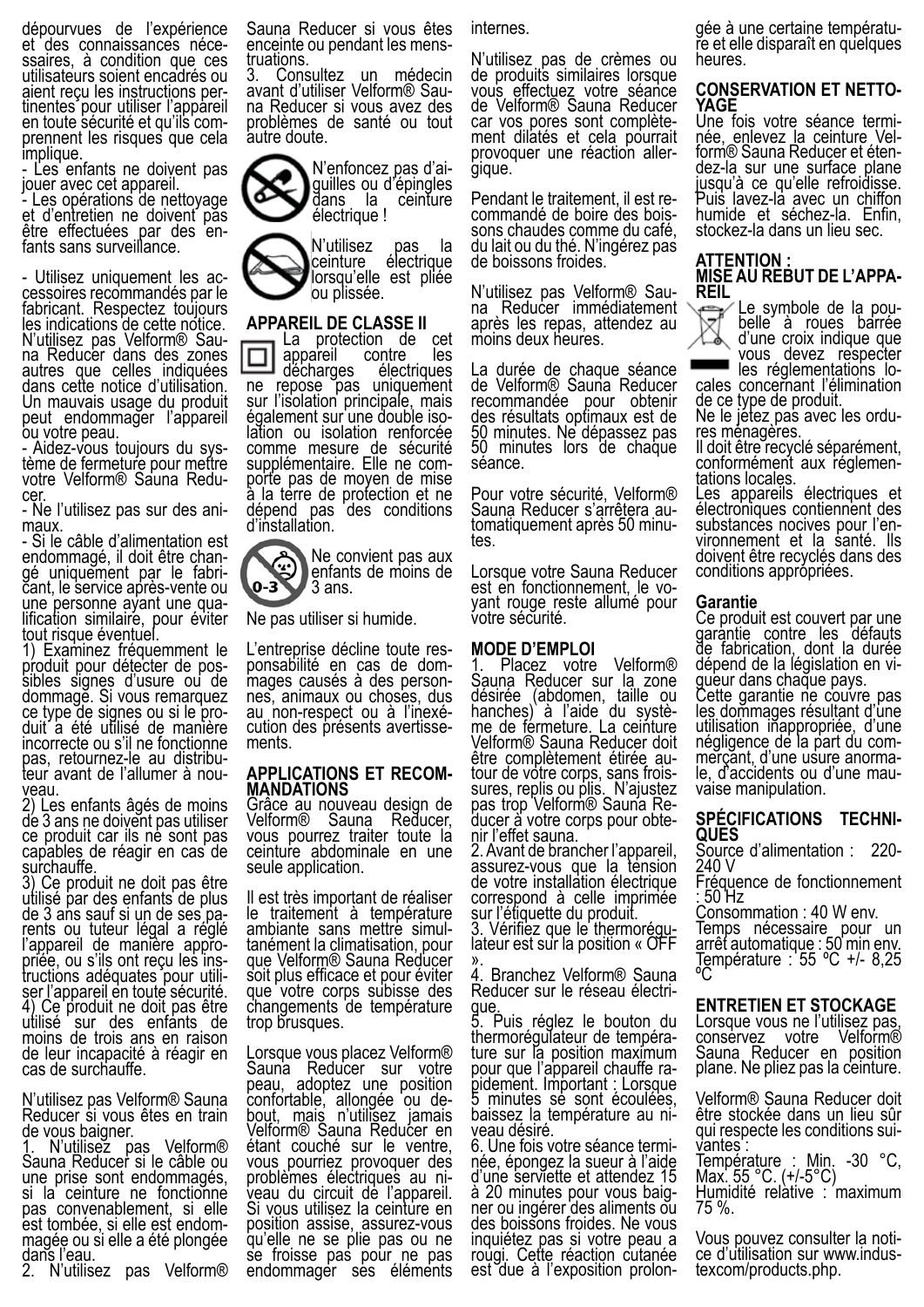dépourvues de l'expérience et des connaissances néce- ssaires, à condition que ces utilisateurs soient encadrés ou aient reçu les instructions per- tinentes pour utiliser l'appareil en toute sécurité et qu'ils com- prennent les risques que cela implique.

- Les enfants ne doivent pas jouer avec cet appareil.

- Les opérations de nettoyage et d'entretien ne doivent pas être effectuées par des en-<br>fants sans surveillance.

- Utilisez uniquement les ac- cessoires recommandés par le fabricant. Respectez toujours les indications de cette notice. N'utilisez pas Velform® Sau- na Reducer dans des zones na Reducer dans des zones<br>autres que celles indiquées dans cette notice d'utilisation. Un mauvais usage du produit peut endommager l'appareil

ou votre peau.<br>- Aidez-vous toujours du sys-- Aidez-vous toujours du sys-<br>tème de fermeture pour mettre votre Velform® Sauna Redu-<br>cer. ... ....

- Ne l'utilisez pas sur des ani- maux.

- Si le câble d'alimentation est endommagé, il doit être chan-<br>gé uniquement par le fabri-<br>cant, le service après-vente ou<br>une personne ayant une qualification similaire, pour éviter tout risque éventuel

1) Examinez fréquemment le produit pour détecter de pos-<br>sibles signes d'usure ou de dommage. Si vous remarquez ce type de signes ou si le pro- duit a été utilisé de manière incorrecte ou s'il ne fonctionne pas, retournez-le au distribu-<br>teur avant de l'allumer à nou-<br>veau.

2) Les enfants âgés de moins de 3 ans ne doivent pas utiliser ce produit car ils ne sont pas capables de réagir en cas de surchauffe.

3) Ce produit ne doit pas être utilisé par des enfants de plus de 3 ans sauf si un de ses pa-<br>rents ou tuteur légal a réglé<br>l'appareil de manière appropriée, ou s'ils ont reçu les ins-<br>tructions adéquates pour utili-<br>ser l'appareil en toute sécurité. 4) Ce produit ne doit pas être utilisé sur des enfants de moins de trois ans en raison de leur incapacité à réagir en cas de surchauffe.

N'utilisez pas Velform® Sauna Reducer si vous êtes en train de vous baigner.

1. N'utilisez pas Velform® Sauna Reducer si le câble ou une prise sont endommagés, si la ceinture ne fonctionne pas convenablement, si elle est tombée, si elle est endom- magée ou si elle a été plongée dans l'eau.

2. N'utilisez pas Velform®

Sauna Reducer si vous êtes enceinte ou pendant les mens- truations.

3. Consultez un médecin<br>avant d'utiliser Velform® Sauna Reducer si vous avez des problèmes de santé ou tout autre doute.

N'enfoncez pas d'ai- guilles ou d'épingles dans la électrique !

N'utilisez pas la<br>ceinture électrique électrique lorsqu'elle est pliée ou plissée.

### **APPAREIL DE CLASSE II**

La protection de cet<br>appareil contre les appareil contre les<br>décharges électriques ne repose pas uniquement sur l'isolation principale, mais également sur une double iso- lation ou isolation renforcée comme mesure de sécurité<br>supplémentaire. Elle ne comporte pas de moyen de mise à la terre de protection et ne dépend pas des conditions d'installation.

E Ne convient pas aux enfants de moins de 0-3 3 ans.

Ne pas utiliser si humide.

L'entreprise décline toute res-<br>ponsabilité en cas de dom-<br>mages causés à des person-<br>nes, animaux ou choses, dus<br>au non-respect ou à l'inexécution des présents avertisse-<br>ments.

### **APPLICATIONS ET RECOM- MANDATIONS**

Grâce au nouveau design de Velform® Sauna Reducer, Velform® Sauna Reducer,<br>vous pourrez traiter toute la ceinture abdominale en une seule application.

Il est très important de réaliser le traitement à température ambiante sans mettre simul- tanément la climatisation, pour que Velform® Sauna Reducer soit plus efficace et pour éviter que votre corps subisse des changements de température trop brusques.

Lorsque vous placez Velform® Sauna Reducer sur votre peau, adoptez une position<br>confortable, allongée ou deconfortable, allongée ou de-<br>bout, mais n'utilisez jamais Velform® Sauna Reducer en étant couché sur le ventre, vous pourriez provoquer des problèmes électriques au ni- veau du circuit de l'appareil. Si vous utilisez la ceinture en position assise, assurez-vous qu'elle ne se plie pas ou ne se froisse pas pour ne pas endommager ses éléments

internes.

N'utilisez pas de crèmes ou de produits similaires lorsque vous effectuez votre séance de Velform® Sauna Reducer car vos pores sont complète- ment dilatés et cela pourrait provoquer une réaction aller-<br>gique.

Pendant le traitement, il est re- commandé de boire des bois- sons chaudes comme du café, du lait ou du thé. N'ingérez pas de boissons froides.

N'utilisez pas Velform® Sau- na Reducer immédiatement après les repas, attendez au moins deux heures.

La durée de chaque séance de Velform® Sauna Reducer recommandée pour obtenir des résultats optimaux est de 50 minutes. Ne dépassez pas 50 minutes lors de chaque séance.

Pour votre sécurité, Velform® Sauna Reducer s'arrêtera au- tomatiquement après 50 minu- tes.

Lorsque votre Sauna Reducer est en fonctionnement, le vo- yant rouge reste allumé pour votre sécurité.

### **MODE D'EMPLOI**

Placez votre Velform® Sauna Reducer sur la zone désirée (abdomen, taille ou hanches) à l'aide du systè-<br>me de fermeture. La ceinture Velform® Sauna Reducer doit four de votre corps, sans frois-<br>sures, replis ou plis. N'ajustez<br>pas trop Velform® Sauna Reducer à votre corps pour obte-<br>nir l'effet sauna.

2. Avant de brancher l'appareil, assurez-vous que la tension de votre installation électrique correspond à celle imprimée sur l'étiquette du produit.

3. Vérifiez que le thermorégu-<br>lateur est sur la position « OFF lateur est sur la position « OFF<br>».<br>4. Branchez Velform® Sauna

4. Branchez Velform® Sauna Reducer sur le réseau électri-<br>gue.

5. Puis réglez le bouton du<br>thermorégulateur de température sur la position maximum<br>pour que l'appareil chauffe rapidement. Important : Lorsque 5 minutes se sont écoulées, baissez la température au ni- veau désiré.

6. Une fois votre séance termi- née, épongez la sueur à l'aide d'une serviette et attendez 15 à 20 minutes pour vous baig- ner ou ingérer des aliments ou des boissons froides. Ne vous inquiétez pas si votre peau a rougi. Cette réaction cutanée est due à l'exposition prolongée à une certaine températu- re et elle disparaît en quelques heures.

### **CONSERVATION ET NETTO- YAGE**

Une fois votre séance termi-<br>née, enlevez la ceinture Vel-<br>form® Sauna Reducer et éten-<br>dez-la sur une surface plane jusqu'à ce qu'elle refroidisse. Puis lavez-la avec un chiffon humide et séchez-la. Enfin, stockez-la dans un lieu sec.

### **ATTENTION : MISE AU REBUT DE L'APPA- REIL**

Le symbole de la pou-<br>belle à roues barrée d'une croix indique que vous devez respecter

cales concernant l'élimination de ce type de produit.

Ne le jetez pas avec les ordu- res ménagères.

Il doit être recyclé séparément, conformément aux réglemen-<br>tations locales.

Les appareils électriques et électroniques contiennent des substances nocives pour l'en- vironnement et la santé. Ils doivent être recyclés dans des conditions apprópriées.

#### **Garantie**

Ce produit est couvert par une garantie contre les défauts de fabrication, dont la durée<br>dépend de la législation en vidépend de la législation en vi- gueur dans chaque pays. Cette garantie ne couvre pas les dommages résultant d'une utilisation iñappropriée, d'une<br>négligence de la part du com-

mérçant, d'une usure anorma-<br>le, d'accidents ou d'une mau-<br>vaise manipulation.

### **SPÉCIFICATIONS TECHNI- QUES**

Source d'alimentation : 220- 240 V

Fréquence de fonctionnement : 50 Hz

Consommation : 40 W env. Temps nécessaire pour un arrêt automatique : 50 min env. Température :  $55 \text{ °C}$  +/- 8,25 ºC

### **ENTRETIEN ET STOCKAGE**

Lorsque vous ne l'utilisez pas,<br>conservez votre Velform® conservez Sauna Reducer en position plane. Ne pliez pas la ceinture.

Velform® Sauna Reducer doit être stockée dans un lieu sûr qui respecte les conditions sui-<br>vantes : Température : Min. -30 °C, Max. 55 °C. (+/-5°C) Humidité relàtive : maximum 75 %.

Vous pouvez consulter la noti- ce d'utilisation sur www.indus- texcom/products.php.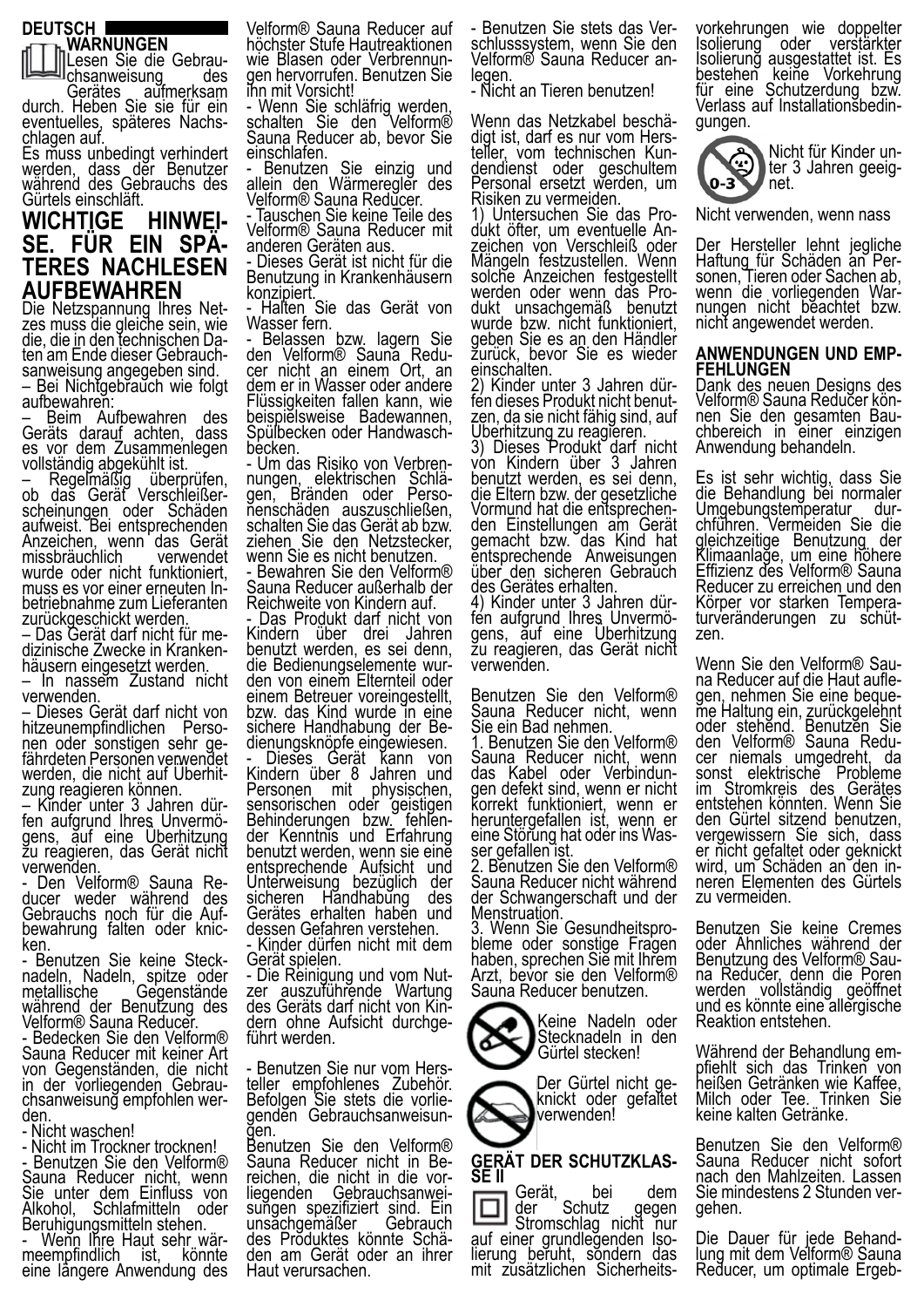#### **DEUTSCH WARNUNGEN**



aufmerksam durch. Heben Sie sie für ein eventuelles, späteres Nachs- chlagen auf.

Es muss unbedingt verhindert werden, dass der Benutzer während des Gebrauchs des Gürtels einschläft.

# **WICHTIGE HINWEI- SE. FÜR EIN SPÄ- TERES NACHLESEN AUFBEWAHREN**

Die Netzspannung Ihres Net- zes muss die gleiche sein, wie die, die in den technischen Da- ten am Ende dieser Gebrauch- sanweisung angegeben sind. – Bei Nichtgebrauch wie folgt aufbewahren:

– Beim Aufbewahren des Geräts darauf achten, dass es vor dem Zusammenlegen vollständig abgekühlt ist.

– Regelmäßig überprüfen, ob daš Gerät Verschleißer-<br>scheinungen oder Schäden aufweist. Bei entsprechenden Anzeichen, wenn das Gerät<br>missbräuchlich verwendet missbräuchlich wurde oder nicht funktioniert, muss es vor einer erneuten In- betriebnahme zum Lieferanten zurückgeschickt werden.

– Das Gerät darf nicht für me- dizinische Zwecke in Kranken- häusern eingesetzt werden.

– In nassem Zustand nicht verwenden.

– Dieses Gerät darf nicht von hen oder sonstigen sehr ge-<br>fährdeten Personen verwendet<br>werden, die nicht auf Überhit-<br>zung reagieren können.<br>- Kinder unter 3 Jahren dür-

fen aufgrund Ihres Unvermö-<br>gens, auf eine Überhitzung zu reagieren, das Gerät nicht verwenden.<br>- Den Velform® Sauna Re-

ducer weder während des Gebrauchs noch für die Auf-<br>bewahrung falten oder knic-<br>ken.<br>- Benutzen Sie keine Steck-

- Benutzen Sie keine Steck- nadeln, Nadeln, spitze oder metallische Gegenstände während der Benutzung des Velform® Sauna Reducer.

- Bedecken Sie den Velform® Sauna Reducer mit keiner Art von Gegenständen, die nicht in der vorliegenden Gebrau-<br>chsanweisung empfohlen wer-<br>den.

- Nicht waschen!

- Nicht im Trockner trocknen!

- Benutzen Sie den Velform® Sauna Reducer nicht, wenn Sie unter dem Einfluss von Alkohol, Schlafmitteln oder Beruhigungsmitteln stehen.

- Wenn Ihre Haut sehr wär- meempfindlich ist, könnte eine längere Anwendung des

Velform® Sauna Reducer auf höchster Stufe Hautreaktionen wie Blasen oder Verbrennun- gen hervorrufen. Benutzen Sie ihn mit Vorsicht!

- Wenn Sie schläfrig werden, schalten Sie den Velform® Sauna Reducer ab, bevor Sie einschlafen.

Benutzen Sie einzig und allein den Wärmeregler des V<u>e</u>lform® Sauna Redŭcer.

- Tauschen Sie keine Teile des Velform® Sauna Reducer mit anderen Geräten aus.

Dieses Gerät ist nicht für die Benutzung in Krankenhäusern konzipiert.

- Halten Sie das Gerät von Wasser fern.

- Belassen bzw. lagern Sie<br>den Velform® Sauna Reduden Velform® Saună Redu-<br>cer nicht an einem Ort, an dem er in Wasser oder andere Flüssigkeiten fallen kann, wie beispielsweise Badewannen, Spülbecken oder Handwasch-<br>becken.<br>- Um das Risiko von Verbren-

nungen, elektrischen Schlä-<br>gen, Bränden oder Perso-<br>nenschäden auszuschließen, schalten Sie das Gerät ab bzw. ziehen Sie den Netzstecker, wenn Sie es nicht benutzen. - Bewahren Sie den Velform®

Sauna Reducer außerhalb der Reichweite von Kindern auf.

Das Produkt darf nicht von Kindern über drei Jahren benutzt werden, es sei denn, den von einem Elternteil oder einem Betreuer voreingestellt, bzw. das Kind wurde in eine sichere Handhabung der Be-<br>dienungsknöpfe eingewiesen.

dienungsknöpfe eingewiesen.<br>- Dieses Gerät kann von Kindern über 8 Jahren und<br>Personen mit physischen, Personen mit sensorischen oder geistigen Behinderungen bzw. fehlen-<br>der Kenntnis und Erfahrung benutzt werden, wenn sie eine entsprechende Aufsicht und Unterweisung bezüglich der<br>sicheren Handhabung des sicheren Händhabung Gerätes erhalten haben und dessen Gefahren verstehen.

- Kinder dürfen nicht mit dem Gerät spielen.

- Die Reinigung und vom Nut-<br>zer auszuführende Wartung des Geräts darf nicht von Kin- dern ohne Aufsicht durchge- führt werden.

- Benutzen Sie nur vom Hers-<br>teller empfohlenes Zubehör. Befolgen Sie stets die vorlie-<br>genden Gebrauchsanweisun-<br>gen.

ğen.<br>Benutzen Sie den Velform®<br>Sauna Reducer nicht in Be-Sauna Reducht in die vor-<br>Saungen Gebrauchsanwei-<br>Sungen spezifiziert sind. Ein<br>unsachgemäßer Gebrauch sungen spezifiziert sind. Ein<br>unsachgemäßer Gebrauch des Produktes könnte Schä- den am Gerät oder an ihrer Haut verursachen.

- Benutzen Sie stets das Ver- schlusssystem, wenn Sie den Velform® Sauna Reducer an-<br>legen.

- Nicht an Tieren benutzen!

Wenn das Netzkabel beschä-<br>digt ist, darf es nur vom Hers-<br>teller, vom technischen Kundendienst oder geschultem<br>Personal ersetzt werden, um Risiken zu vermeiden.<br>1) Untersuchen Sie das Pro-

dukt öfter, um eventuelle An-<br>zeichen von Verschleiß oder Mängeln festzustellen. Wenn solche Anzeichen festgestellt werden oder wenn das Pro-<br>dukt unsachgemäß benutzt wurde bzw. nicht funktioniert, geben Sie es an den Händler zurück, bevor Sie es wieder

einschalten.<br>2) Kinder unter 3 Jahren dür-2) Kinder unter 3 Jahren dür-<br>fen dieses Produkt nicht benut-<br>zen, da sie nicht fähig sind, auf<br>Überhitzung zu reagieren.

3) Dieses Produkt darf nicht von Kindern über 3 Jahren benutzt werden, es sei denn, die Eltern bzw. der gesetzliche Vormund hat die entsprechen- den Einstellungen am Gerät gemacht bzw. das Kind hat entsprechende Anweisungen über den sicheren Gebrauch des Gerätes erhalten.

4) Kinder unter 3 Jahren dür- fen aufgrund Ihres Unvermö- gens, auf eine Überhitzung zu reagieren, das Gerät nicht verwenden.

Benutzen Sie den Velform® Sauna Reducer nicht, wenn Sie ein Bad nehmen.

1. Benutzen Sie den Velform® Sauna Reducer nicht, wenn<br>das Kabel oder Verbindungen defekt sind, wenn er nicht korrekt funktioniert, wenn er heruntergefallen ist, wenn er eine Störung hat oder ins Was-<br>ser gefallen ist.

2. Benutzen Sie den Velform® Sauna Reducer nicht während der Schwangerschaft und der Menstruation.

3. Wenn Sie Gesundheitspro- bleme oder sonstige Fragen haben, sprechen Sie mit Ihrem Arzt, bevor sie den Velform® Sauna Reducer benutzen.

> Keine Nadeln oder Stecknadeln in den Gürtel stecken!

Der Gürtel nicht ge- knickt oder gefaltet verwenden!

# **GERÄT DER SCHUTZKLAS- SE II**

Gerät, bei dem der Schutz gegen Stromschlag nicht nur auf einer grundlegenden Iso- lierung beruht, sondern das mit zusätzlichen Sicherheitsvorkehrungen wie doppelter Isolierung oder verstärkter Isolierung ausgestattet ist. Es bestehen keine Vorkehrung für eine Schutzerdung bzw. Verlass auf Installationsbedin- gungen.



Nicht verwenden, wenn nass

Der Hersteller lehnt jegliche Haftung für Schäden an Per- sonen, Tieren oder Sachen ab, wenn die vorliegenden War-<br>nungen nicht beachtet bzw. nicht angewendet werden.

### **ANWENDUNGEN UND EMP- FEHLUNGEN**

Dank des neuen Designs des<br>Velform® Sauna Reducer können Sie den gesamten Bau-<br>chbereich in einer einzigen Anwendung behandeln.

Es ist sehr wichtig, dass Sie die Behandlung bei normaler Umgebungstemperatur dur- chführen. Vermeiden Sie die gleichzeitige Benutzung der Klimaanlage, um eine höhere Effizienz des Velform® Sauna Reducer zu erreichen und den<br>Körper vor starken Temperaturveränderungen zu schüt-<br>zen.

Wenn Sie den Velform® Sau-<br>na Reducer auf die Haut aufle-<br>gen, nehmen Sie eine beque-<br>me Haltung ein, zurückgelehnt oder stehend. Benutzen Sie den Velform® Sauna Redu- cer niemals umgedreht, da sonst elektrische Probleme im Stromkreis des Gerätes entstehen könnten. Wenn Sie den Gürtel sitzend benutzen, vergewissern Sie sich, dass er nicht gefaltet oder geknickt wird, um Schäden an den in- neren Elementen des Gürtels zu vermeiden.

Benutzen Sie keine Cremes oder Ähnliches während der Benutzung des Velform® Sau- na Reducer, denn die Poren werden vollständig geöffnet und es könnte eine allergische Reaktion entstehen.

Während der Behandlung em-<br>pfiehlt sich das Trinken von heißen Getränken wie Kaffee, Milch oder Tee. Trinken Sie keine kalten Getränke.

Benutzen Sie den Velform® Sauna Reducer nicht sofort nach den Mahlzeiten. Lassen Sie mindestens 2 Stunden ver- gehen.

Die Dauer für jede Behand-<br>lung mit dem Velform® Sauna Reducer, um optimale Ergeb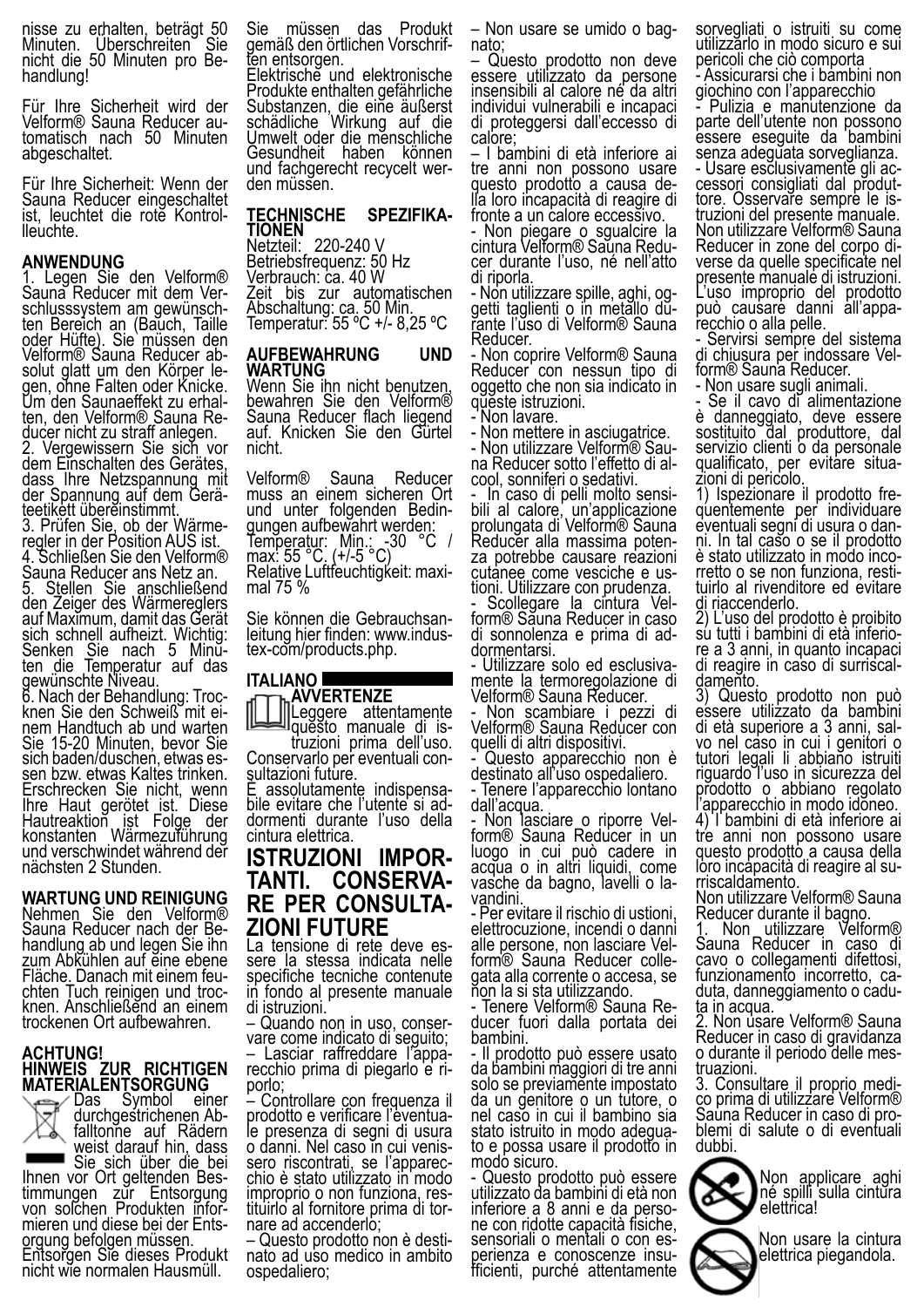nisse zu erhalten, beträgt 50<br>Minuten. Uberschreiten Sie nicht die 50 Minuten pro Be-<br>handlung!

Für Ihre Sicherheit wird der Velform® Sauna Reducer au- tomatisch nach 50 Minuten abgeschaltet.

Für Ihre Sicherheit: Wenn der Sauna Reducer eingeschaltet ist, leuchtet die rotĕ Kontrol-<br>Ileuchte.

#### **ANWENDUNG**

1. Legen Sie den Velform® Sauna Reducer mit dem Ver-<br>schlusssystem am gewünsch-<br>ten Bereich an (Bauch, Taille oder Hüfte). Sie`müssen den Velform® Sauna Reducer ab- solut glatt um den Körper le- gen, ohne Falten oder Knicke. Um den Saunaeffekt zu erhal-<br>ten, den Velform® Sauna Re-<br>ducer nicht zu straff anlegen.

2. Vergewissern Sie sich vor dem Einschalten des Gerätes, dass Ihre Netzspannung mit der Spannung auf dem Gerä-<br>teetikett übereinstimmt.<br>3. Prüfen Sie, ob der Wärme-

3. Prüfen Sie, ob der Wärme-<br>regler in der Position AUS ist. 4. Schließen Sie den Velform® Sauna Reducer ans Netz an.

5. Stellen Sie anschließend den Zeiger des Wärmereglers auf Maximum, damit das Gerät sich schnell aufheizt. Wichtig: Senken Sie nach 5 Minŭ-<br>ten die Temperatur auf das gewünschte Niveau.

6. Nach der Behandlung: Troc-<br>knen Sie den Schweiß mit einem Handtuch ab und warten<br>Sie 15-20 Minuten, bevor Sie<br>sich baden/duschen, etwas essich baden/duschen, etwas es-<br><u>s</u>en bzw. etwas Kaltes trinken. Erschrecken Sie nicht, wenn Ihre Haut gerötet ist. Diese Hautreaktion ist Folge der konstanten Wärmezuführung und verschwindet während der nächsten 2 Stunden.

**WARTUNG UND REINIGUNG** Nehmen Sie den Velform® Sauna Reducer nach der Be-<br>handlung ab und legen Sie ihn zum Abkühlen auf eine ebene Fläche. Danach mit einem feu-<br>chten Tuch reinigen und troc-<br>knen. Anschließend an einem trockenen Ort aufbewahren.

#### **ACHTUNG! HINWEIS ZUR RICHTIGEN MATERIALENTSORGUNG**



Das Symbol einer durchgestrichenen Ab-<br>1 durchgestrichenen Ab-<br>1 falltonne auf Rädern weist darauf hin, dass

Sie sich über die bei<br>Ihnen vor Ort geltenden Bes-Ihnen vor Ort geltenden Bes-<br>timmungen zur Entsorgung von solchen Produkten infor-<br>mieren und diese bei der Ents-<br><u>o</u>rgung befolgen müssen. orgung befolgen müssen.<br>Entsorgen Sie dieses Produkt nicht wie normalen Hausmüll.

Sie müssen das Produkt gemäß den örtlichen Vorschrif-<br>ten entsorgen.

Elektrische und elektronische Produkte enthalten gefährliche Substanzen, die eine äußerst schädliche Wirkung auf die Umwelt oder die menschliche Gesundheit haben können und fachgerecht recycelt wer- den müssen.

### **TECHNISCHE SPEZIFIKA- TIONEN**

Netzteil: 220-240 V Betriebsfrequenz: 50 Hz Verbrauch: ca. 40 W Zeit bis zur automatischen Abschaltung: ca. 50 Min. Temperatur: 55 ºC +/- 8,25 ºC

#### **AUFBEWAHRUNG UND WARTUNG**

Wenn Sie ihn nicht benutzen, bewahren Sie den Velform® Sauna Reducer flach liegend auf. Knicken Sie den Gürtel nicht.

Velform® Sauna Reducer muss an einem sicheren Ort<br>und unter folgenden Bedinund unter rolgenden:<br>gungen aufbewahrt werden:<br>C Temperatur: Min.: 30 °C / max: 55 °C. (+/-5 °C) Relative Luftfeuchtigḱeit: maxi-<br>mal 75 %

Sie können die Gebrauchsan-<br>leitung hier finden: www.indus-<br>tex-com/products.php.

#### **ITALIANO AVVERTENZE**

Leggere attentamente<br>questo manuale di is-

truzioni prima dell'uso.<br>Conservarlo per eventuali con-<br>sultazioni future.<br>È assolutamente indispensa-<br>bile evitare che l'utente si ad-<br>dormenti durante l'uso della cintura elettrica.

**ISTRUZIONI IMPOR- TANTI. CONSERVA- RE PER CONSULTA- ZIONI FUTURE**

La tensione di rete deve es-<br>sere la stessa indicata nelle specifiche tecniche contenute in fondo al presente manuale di istruzioni.<br>- Quando non in uso, conser-

vare come indicato di seguito;

– Lasciar raffreddare l'appa- recchio prima di piegarlo e ri- porlo;

– Controllare con frequenza il prodotto e verificare l'eventua-<br>le presenza di segni di usura o danni. Nel caso ĭn cui venis-<br>sero riscontrati, se l'apparec-<br>chio è stato utilizzato in modo chio è stato utilizzato in modo<br>improprio o non funziona, res-<br>tituirlo al fornitore prima di tor-<br>nare ad accenderlo;<br>- Questo prodotto non è desti-

nato ad uso medico in ambito ospedaliero;

– Non usare se umido o bag- nato;

– Questo prodotto non deve essere utilizzato da persone insensibili al calore né da altri individui vulnerabili e incapaci di proteggersi dall'eccesso di calore;

– I bambini di età inferiore ai tre anni non possono usare<br>questo prodotto a causa della loro incapacità di reagire di fronte a un calore eccessivo.

- Non piegare o sgualcire la cintura Velform® Saŭna Redu-<br>cer durante l'uso, né nell'atto cer durante l'uso, né nell'atto<br>di riporla.<br>- Non utilizzare spille, aghi, og-

getti taglienti o in metallo du-<br>rante l'uso di Velform® Sauna Reducer.

- Non coprire Velform® Sauna Reducer con nessun tipo di oggetto che non sia indicato in queste istruzioni.

- Non lavare.

- Non mettere in asciugatrice.<br>- Non utilizzare Velform® Sauna Reducer sotto l'effetto di al-<br>cool, sonniferi o sedativi.<br>- ..ln caso di pelli molto sensi-

- In caso di pelli molto sensi- bili al calore, un'applicazione prolungata di Velform® Sauna Reducer alla massima poten-<br>za potrebbe causare reazioni za potrebbe causare reazioni<br>cutanee come vesciche e us-<br>tioni. Utilizzare con prudenza.

- Scollegare la cintura Vel- form® Sauna Reducer in caso di sonnolenza e prima di ad-<br>dormentarsi.<br>- Utilizzare solo ed esclusiva-

mente la termoregolazione di Velform® Sauna Reducer.

- Non scambiare i pezzi di Velform® Sauna Reducer con quelli di altri dispositivi.

- Questo apparecchio non è destinato all'uso ospedaliero.

- Tenere l'apparecchio lontano dall'acqua.

- Non lasciare o riporre Vel- form® Sauna Reducer in un luogo in cui può cadere in acqua o in altri liquidi, come vasche da bagno, lavelli o la-<br>vandini.

- Per evitare il rischio di ustioni, elettrocuzione, incendi o danni form<sup>®</sup> Sauna Reducer colle-<br>gata alla corrente o accesa, se non la si sta utilizzando.

- Tenere Velform® Sauna Re- ducer fuori dalla portata dei bambini.

- Il prodotto può essere usato da bambini maggiori di tre anni solo se previamente impostato da un genitore o un tutore, o nel caso in cui il bambino sia<br>stato istruito in modo adequato e possa usare il prodotto in modo sicuro.

- Questo prodotto può essere utilizzato da bambini di età non inferiore a 8 anni e da perso- ne con ridotte capacità fisiche, perienza e conoscenze insu-<br>fficienti, purché attentamente

sorvegliati o istruiti su come utilizzarlo in modo sicuro e sui pericoli che ciò comporta - Assicurarsi che i bambini non

giochino con l'apparecchio - Pulizia e manutenzione da parte dell'utente non possono essere eseguite da bambini senza adeguata sorveglianza.<br>- Usare esclusivamente gli accessori consigliati dal produt-<br>tore. Osservare sempre le is-<br>truzioni del presente manuale. Non utilizzare Velform® Sauna<br>Reducer in zone del corpo diverse da quelle specificate nel presente manuale di istruzioni. L'uso improprio del prodotto può causare danni all'appa- recchio o alla pelle.

- Servirsi sempre del sistema di chiusura per indossare Vel-<br>form® Sauna Reducer.

- Non usare sugli animali.

Se il cavo di alimentazione è danneggiato, deve essere sostituito dal produttore, dal servizio clienti o da personale qualificato, per evitare situa- zioni di pericolo.

1) Ispezionare il prodotto fre- quentemente per individuare ni. In tal caso o se il prodotto<br>è stato utilizzato in modo incorretto o se non funziona, resti-<br>tuirlo al rivenditore ed evitare di riaccenderlo.

2) L'uso del prodotto è proibito su tutti i bambini di età inferio-<br>re a 3 anni, in quanto incapaci re a 3 anni, in quanto incapaci<br>di reagire in caso di surriscal-<br>damento.

3) Questo prodotto non può essere utilizzato da bambini di età superiore a 3 anni, sal- vo nel caso in cui i genitori o tutori legali li abbiano istruiti riguardo l'uso in sicurezza del prodotto o abbiano regolato l'apparecchio in modo idoneo. 4) l'bambini di età inferiore ai tre anni non possono usare questo prodotto a causa della loro incapacità di reagire al su- rriscaldamento.

Non utilizzare Velform® Sauna Reducer durante il bagno.

1. Non utilizzare Velform® Sauna Reducer in caso di cavo o collegamenti difettosi, duta, danneggiamento o cadu-<br>ta in acqua.

2. Non usare Velform® Sauna Reducer in caso di gravidanza o durante il periodo delle mes- truazioni.

3. Consultare il proprio medi- co prima di utilizzare Velform® Sauna Reducer in caso di pro- blemi di salute o di eventuali dubbi.



Non usare la cintura elettrica piegandola.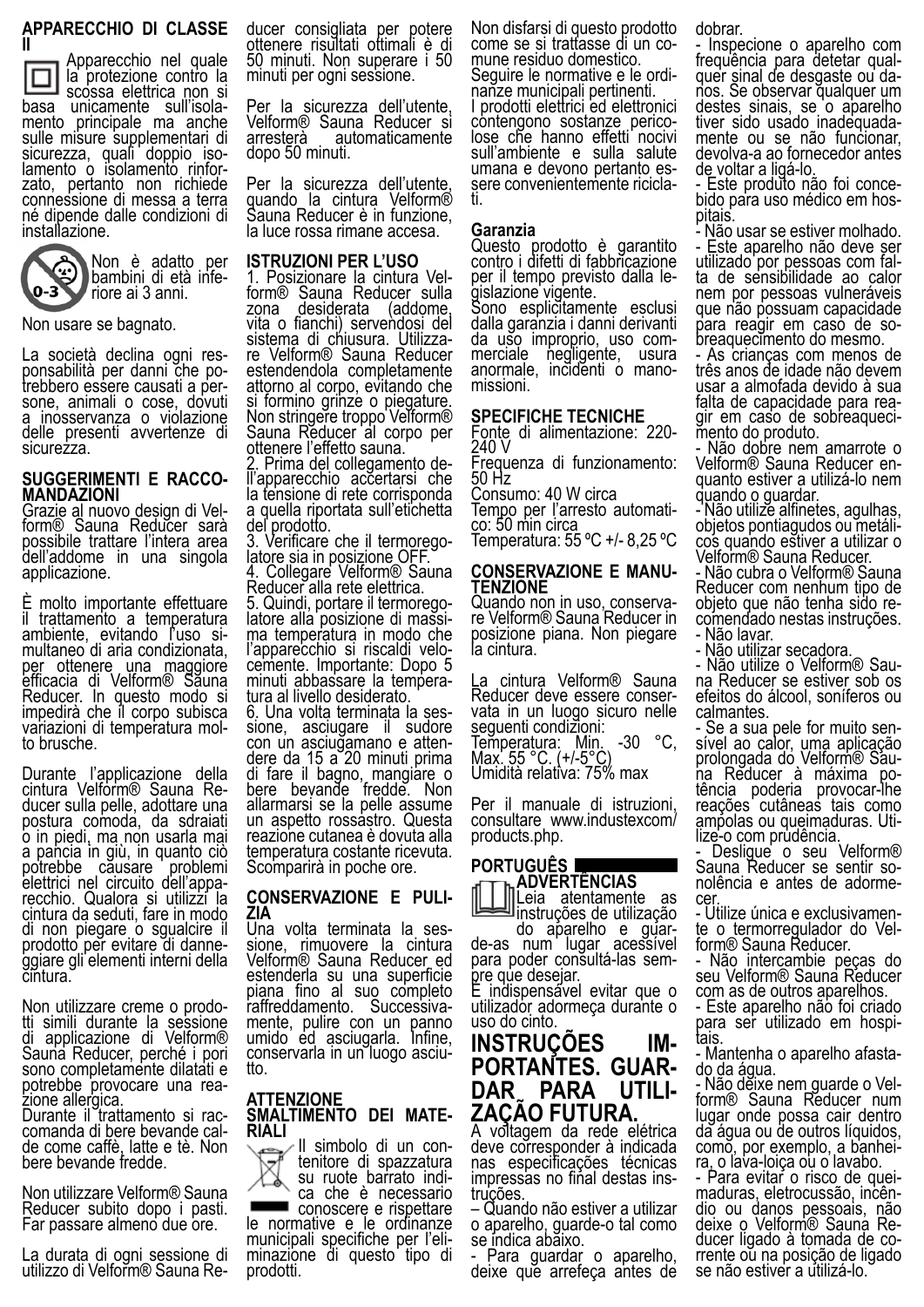### **APPARECCHIO DI CLASSE**

Apparecchio nel quale



la protezione contro la scossa elettrica non si<br>basa unicamente sull'isolamento principale ma anche sulle misure supplementari di<br>sicurezza, quali doppio isosicurezza, quali doppio iso-<br>lamento o isolamento rinfor-<br>zato, pertanto non richiede connessione di messa a terra né dipende dalle condizioni di installazione.



Non usare se bagnato.

La società declina ogni res-<br>ponsabilità per danni che po-<br>trebbero essere causati a per-<br>sone, animali o cose, dovuti a inosservanza o violazione delle presenti avvertenze di sicurezza.

### **SUGGERIMENTI E RACCO- MANDAZIONI**

Grazie al nuovo design di Vel- form® Sauna Reducer sarà possibile trattare l'intera area dell'addome in una singola applicazione.

È molto importante effettuare il trattamento a temperatura ambiente, evitando l'uso si- multaneo di aria condizionata, per ottenere una maggiore efficacia di Velform® Sauna Reducer. In questo modo si impedirà che il corpo subisca variazioni di temperatura mol- to brusche.

Durante l'applicazione della cintura Velform® Sauna Re-<br>ducer sulla pelle, adottare una ducer sulla pelle, adottare una<br>postura comoda, da sdraiati o in piedi, ma non usarla mai a pancia in giù, in quanto ciò potrebbe căusare problemi elettrici nel circuito dell'appa- recchio. Qualora si utilizzi la recchio. Qualora si utilizzi la<br>cintura da seduti, fare in modo di non piegare o sgualcire il prodotto per evitare di danne-<br>ggiare gli elementi interni della ggiare gli elementi interni della<br>cintura.

Non utilizzare creme o prodo-<br>tti simili durante la sessione di applicazione di Velform® Sauna Reducer, perché i pori sono completamente dilatati e potrebbe provocare una rea- zione allergica.

Durante il trattamento si rac-<br>comanda di bere bevande cal-<br>de come caffè, latte e tè. Non bere bevande fredde.

Non utilizzare Velform® Sauna Reducer subito dopo i pasti. Far passare almeno due ore.

La durata di ogni sessione di utilizzo di Velform® Sauna Reducer consigliata per potere ottenere risultati ottimali è di 50 minuti. Non superare i 50 minuti per ogni sessione.

Per la sicurezza dell'utente, Velform® Sauna Reducer si arresterà automaticamente dopo 50 minuti.

Per la sicurezza dell'utente, quando la cintura Velform® Sauna Reducer è in funzione, la luce rossa rimane accesa.

#### **ISTRUZIONI PER L'USO**

1. Posizionare la cintura Vel-<br>form® Sauna Reducer sulla<br>zona desiderata (addome. desiderata vita o fianchi) servendosi del sistema di chiusura. Utilizza- re Velform® Sauna Reducer estendendola completamente attorno al corpo, evitando che si formino grinze o piegature. Non stri<u>ng</u>ere troppo Velform® Sauna Reducer al corpo per

ottenere l'effetto sauna.<br>2. Prima del collegamento de-2. Prima del collegamento de-<br>ll'apparecchio accertarsi che la tensione di rete corrisponda a quella riportata sull'etichetta

del prodotto.<br>3. Verificare che il termorego-3. Verificare che il termorego-<br>latore sia in posizione OFF. 4. Collegare Velform® Sauna

Reducer alla rete elettrica.<br>5. Quindi, portare il termorego-

5. Quindi, portare il termorego-<br>latore alla posizione di massi-<br>ma temperatura in modo che l'apparecchio si riscaldi velo- cemente. Importante: Dopo 5 cemente. Importante: Dopo 5<br>minuti abbassare la tempera-<br>tura al livello desiderato.<br>6. Una volta terminata la ses-

sione, asciugare il sudore<br>con un asciugamano e attencon un asciuğamano e atten-<br>dere da 15 a 20 minuti prima di fare il bagno, mangiare o bere bevande fredde. Non allarmarsi se la pelle assume un aspetto rossastro. Questa reazione cutanea è dovuta alla temperatura costante ricevuta. Scomparirà in poche ore.

### **CONSERVAZIONE E PULI- ZIA**

Una volta terminata la ses-<br>sione, rimuovere la cintura Velform® Sauna Reducer ed estenderla su una superficie piana fino al suo completo raffreddamento. Successiva-<br>mente, pulire con un panno mente, pulire con un panno<br>umido ed asciugarla. Infine, conservarla in un luogo asciu-<br>tto.

### **ATTENZIONE SMALTIMENTO DEI MATE- RIALI**

tenitore di spazzatura su ruote barrato indi- ca che è necessario conoscere e rispettare le normative e le ordinanze municipali specifiche per l'eli- minazione di questo tipo di

prodotti.

Non disfarsi di questo prodotto come se si trattasse di un co-<br>mune residuo domestico.<br>Seguire le normative e le ordinanze municipali pertinenti. I prodotti elettrici ed elettronici contengono sostanze perico- lose che hanno effetti nocivi sull'ambiente e sulla salute umana e devono pertanto es- sere convenientemente ricicla- ti.

#### **Garanzia**

Questo prodotto è garantito contro i difetti di fabbricazione per il tempo previsto dalla le-<br>gislazione vigente.

Sono esplicitamente esclusi dalla garanzia i danni derivanti da uso improprio, uso com- merciale negligente, usura anormale, incidenti o mano-<br>missioni.

#### **SPECIFICHE TECNICHE**

Fonte di alimentazione: 220- 240 V

Frequenza di funzionamento: 50 Hz

Consumo: 40 W circa<br>Tempo per l'arresto automati-

Tempo per l'arresto automati-<br>co: 50 min circa Temperatura: 55 ºC +/- 8,25 ºC

**CONSERVAZIONE E MANU- TENZIONE**

re Velform® Sauna Reducer in posizione piana. Non piegare la cintura.

La cintura Velform® Sauna Reducer deve essere conser- vata in un luogo sicuro nelle seguenti condizioni:

Temperatura: Min. -30 °C, Max. 55 °C. (+/-5°C) Umidità relativa: 75% max

Per il manuale di istruzioni, consultare www.industexcom/ products.php.

### **PORTUGUÊS ADVERTÊNCIAS** Leia atentamente as instruções de utilização do aparelho e guar-<br>de-as num lugar acessível

para poder consultá-las sem-<br>pre que desejar.<br>É indispensável evitar que o

utilizador adormeça durante o uso do cinto.

# **INSTRUÇÕES IM- PORTANTES. GUAR- DAR PARA UTILI- ZAÇÃO FUTURA.**

A voltagem da rede elétrica deve corresponder à indicada nas especificações técnicas impressas no final destas ins-<br>truções.

– Quando não estiver a utilizar o aparelho, guarde-o tal como se indica abăixo.

- Para guardar o aparelho, deixe que arrefeça antes de

### dobrar.

- Inspecione o aparelho com frequência para detetar qual- quer sinal de desgaste ou da- nos. Se observar qualquer um destes sinais, se o aparelho<br>tiver sido usado inadequadativer sido usado inadequada- mente ou se não funcionar, devolva-a ao fornecedor antes de voltar a ligá-lo.

- Este produto não foi conce-<br>bido para uso médico em hos-<br>pitais.

- Não usar se estiver molhado. - Este aparelho não deve ser<br>utilizado por pessoas com falta de sensibilidade ao calor nem por pessoas vulneráveis que não possuam capacidade<br>para reagir em caso de sobreaquecimento do mesmo.

- As crianças com menos de três anos de idade não devem usar a almofada devido à sua<br>falta de capacidade para reagir em caso de sobreaqueci-<br>mento do produto.

- Não dobre nem amarrote o quanto estiver a utilizá-lo nem quando o guardar.

- Não utilize alfinetes, agulhas, objetos pontiagudos ou metáli- cos quando estiver a utilizar o Velform® Sauna Reducer.

- Não cubra o Velform® Sauna Reducer com nenhum tipo de<br>objeto que não tenha sido recomendado nestas instruções. - Não lavar.

- Não utilizar secadora.<br>- Não utilize o Velform® Sauna Reducer se estiver sob os efeitos do álcool, soníferos ou

calmantes.<br>- Se a sua pele for muito sensível ao calor, uma aplicação<br>prolongada do Velform® Sauprolongada do Velform® Sau-<br>na Reducer à máxima po-<br>tência poderia provocar-lhe reações cutâneas tais como ampolas ou queimaduras. Uti-<br>lize-o com prudência.

- Desligue o seu Velform® Sauna Reducer se sentir so-<br>nolência e antes de adorme-<br>cer.<br>- Utilize única e exclusivamen-

te o termorregulador do Vel-<br>form® Sauna Reducer.

- Não intercambie peças do seu Velform® Sauna Reducer com as de outros aparelhos.

- Este aparelho não foi criado para ser utilizado em hospi-<br>tais.

- Mantenha o aparelho afasta- do da água.

- Não dĕixe nem guarde o Vel-<br>form® Sauna Reducer num lugar onde possa cair dentro da água ou de outros líquidos, como, por exemplo, a banhei-<br>ra, o lava-loiça ou o lavabo.<br>- Para evitar o risco de quei-

- Para evitar o risco de quei-<br>maduras, eletrocussão, incên-<br>dio ou danos pessoais, não deixe o Velform® Sauna Re- ducer ligado à tomada de co- rrente ou na posição de ligado rrente oŭ na posição de ligado<br>se não estiver a utilizá-lo.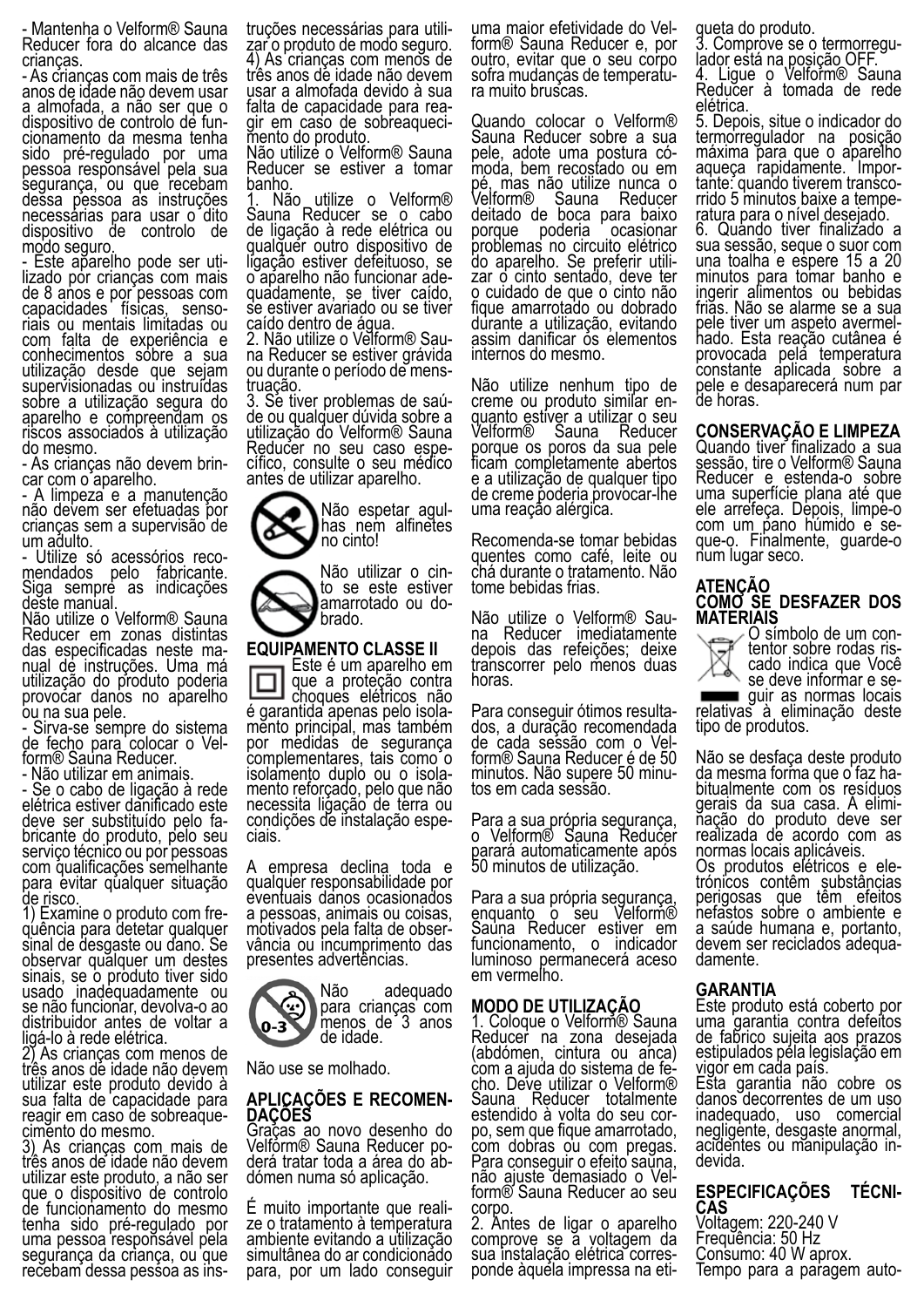- Mantenha o Velform® Sauna Reducer fora do alcance das crianças.

- As crianças com mais de três anos de idade não devem usar a almofada, a não ser que o dispositivo de controlo de fun- cionamento da mesma tenha sido pré-regulado por uma pessoa responsável pela sua segurança, ou que recebam dessa pessoa as instruções necessárias para usar o dito dispositivo de controlo de modo seguro.

- Este aparelho pode ser uti-<br>lizado por crianças com mais de 8 anos e por pessoas com capacidades físicas, senso- riais ou mentais limitadas ou com falta de experiência e conhecimentos sobre a sua utilização desde que sejam supervisionadas ou instruídas sobre a utilização segura do aparelho e compreendam os riscos associados à utilização do mesmo.

- As crianças não devem brin- car com o aparelho.

- A limpeza e a manutenção não devem ser efetuadas por crianças sem a supervisão de um adulto.

- Utilize só acessórios reco- mendados pelo fabricante. Siga sempre as indicações deste manual.

Não utilize o Velform® Sauna Reducer em zonas distintas das especificadas neste ma- nual de instruções. Uma má utilização do produto poderia provocar danos no aparelho ou na sua pele.

- Sirva-se sempre do sistema de fecho para colocar o Vel- form® Sauna Reducer.

- Não utilizar em animais.

- Se o cabo de ligação à rede elétrica estiver danificado este bricante do produto, pelo seu serviço técnico ou por pessoas com qualificações semelhante para evitar qualquer situação de risco.

1) Examine o produto com fre- quência para detetar qualquer sinal de desgaste ou dano. Se observar qualquer um destes sinais, se o produto tiver sido usado inadequadamente ou se não funcionar, devolva-o ao distribuidor antes de voltar a ligá-lo à rede elétrica.

2) As crianças com menos de três anos de idade não devem utilizar este produto devido à sua falta de capacidade para reagir em caso de sobreaque- cimento do mesmo.

3) As crianças com mais de três anos de idade não devem utilizar este produto, a não ser que o dispositivo de controlo de funcionamento do mesmo tenha sido pré-regulado por uma pessoa responsável pela segurança da criança, ou que recebam dessa pessoa as instruções necessárias para utili- zar o produto de modo seguro. 4) As crianças com menos de três anos de idade não devem usar a almofada devido à sua gir em caso de sobreaqueci-<br>mento do produto.

Não utilize o Velform® Sauna Reducer se estiver a tomar banho.

1. Não utilize o Velform® Sauna Reducer se o cabo de ligação à rede elétrica ou qualquer outro dispositivo de ligação estiver defeituoso, se quadamente, se tiver caído, se estiver avariado ou se tiver

caído dentro de água.<br>2. Não utilize o Velform® Sauna Reducer se estiver grávida ou durante o período de mens- truação.

3. Se tiver problemas de saú- de ou qualquer dúvida sobre a utilização do Velform® Sauna Reducer no seu caso espe- cífico, consulte o seu médico antes de utilizar aparelho.



Não utilizar o cin-<br>to se este estiver amarrotado ou do-<br>brado.

### **EQUIPAMENTO CLASSE II**

Este é um aparelho em que a proteção contra<br>choques elétricos não é garantida apenas pelo isola-<br>mento principal, mas também por medidas de segurança complementares, tais como o<br>isolamento duplo ou o isolamento reforçado, pelo que não necessita ligação de terra ou condições de instalação espe- ciais.

A empresa declina toda e qualquer responsabilidade por eventuais danos ocasionados a pessoas, animais ou coisas, motivados pela falta de obser- vância ou incumprimento das presentes advertências.

Não adequado **para crianças com** menos de 3 anos  $0 - 3$ de idade.

Não use se molhado.

## **APLICAÇÕES E RECOMEN- DAÇÕES**

Graças ao novo desenho do Velfórm® Sauna Reducer po-<br>derá tratar toda a área do ab-<br>dómen numa só aplicação.

É muito importante que reali- ze o tratamento à temperatura ambiente evitando a utilização simultânea do ar condicionado para, por um lado conseguir uma maior efetividade do Vel- form® Sauna Reducer e, por outro, evitar que o seu corpo sofra mudanças de temperatu- ra muito bruscas.

Quando colocar o Velform<sup>®</sup> Sauna Reducer sobre a sua pele, adote uma postura có- moda, bem recostado ou em pé, mas não utilize nunca o Velform® Sauna Reducer deitado de boca para baixo porque poderia ocasionar problemas no circuito elétrico do aparelho. Se preferir utili-<br>zar o cinto sentado, deve ter zar o cinto sentado, deve ter<br>o cuidado de que o cinto não fique amarrotado ou dobrado durante a utilização, evitando assim danificar os elementos internos do mesmo.

Não utilize nenhum tipo de creme ou produto similar en-<br>quanto estiver a utilizar o seu<br>Velform® Sauna Reducer Velform® Sauna porque os poros da sua pele ficam completamente abertos e a utilização de qualquer tipo de creme poderia provocar-lhe uma reação alérgica.

Recomenda-se tomar bebidas quentes como café, leite ou chá durante o tratamento. Não tome bebidas frias.

Não utilize o Velform® Sau- na Reducer imediatamente depois das refeições; deixe transcorrer pelo menos duas horas.

Para conseguir ótimos resulta-<br>dos, a duração recomendada<br>de cada sessão com o Velform® Sauna Reducer é de 50 minutos. Não supere 50 minu- tos em cada sessão.

Para a sua própria segurança, o Velform® Sauna Reducer parará automaticamente após 50 minutos de utilização.

Para a sua própria segurança, enquanto o seu Velform® Sauna Reducer estiver em funcionamento, o indicador luminoso permanecerá aceso em vermelho.

### **MODO DE UTILIZAÇÃO**

1. Coloque o Velform® Sauna Reducer na zona desejada (abdómen, cintura ou anca) com a ajuda do sistema de fe- cho. Deve utilizar o Velform® Sauna Reducer totalmente estendido à volta do seu cor-<br>po, sem que fique amarrotado, po, sem que fique amarrotado,<br>com dobras ou com pregas. Para conseguir o efeito sauna, não ajuste demasiado o Vel- form® Sauna Reducer ao seu corpo.

2. Antes de ligar o aparelho comprove se a voltagem da sua instalação elétrica corres- ponde àquela impressa na eti-

queta do produto.<br>3. Comprove se o termorregu-3. Comprove se o termorregu-<br>lador está na posição OFF.

4. Ligue o Velform® Sauna Reducer à tomada de rede elétrica.

5. Depois, situe o indicador do termorregulador na posição máxima para que o aparelho<br>aqueça rapidamente. Importante: quando tiverem transco-<br>rrido 5 minutos baixe a tempe-<br>ratura para o nível desejado.

6. Quando tiver finalizado a sua sessão, seque o suor com una toalha e espere 15 a 20 minutos para tomar banho e ingerir alimentos ou bebidas frias. Não se alarme se a sua<br>pele tiver um aspeto avermelpele tiver um aspeto avermel- hado. Esta reação cutânea é provocada pela temperatura constante aplicada sobre a pele e desaparecerá num par de horas.

**CONSERVAÇÃO E LIMPEZA** Quando tiver finalizado a sua sessão, tire o Velform® Sauna Reducer e estenda-o sobre uma superfície plana até que ele arrefeça. Depois, limpe-o com um pano húmido e se-<br>que-o. Finalmente, guarde-o num lugar seco.

### **ATENÇÃO COMO SE DESFAZER DOS MATERIAIS**

O símbolo de um con- tentor sobre rodas ris- cado indica que Você se de guir as normas locais<br>relativas à eliminação deste

tipo de produtos. Não se desfaça deste produto<br>da mesma forma que o faz ha-

bitualmente com os resíduos<br>gerais da sua casa. A elimigerais da sua casa. A elimi- nação do produto deve ser realizada de acordo com as normas locais aplicáveis.<br>Os produtos elétricos e ele-

Os produtos elétricos e ele- trónicos contêm substâncias perigosas que têm efeitos nefastos sobre o ambiente e a saúde humana e, portanto, devem ser reciclados adequa- damente.

### **GARANTIA**

Este produto está coberto por uma garantia contra defeitos de fabrico sujeita aos prazos estipulados pela legislação em vigor em cada país.

Esta garantia não cobre os danos decorrentes de um uso inadequado, uso comercial negligente, desgaste anormal, acidentes ou manipulação in- devida.

### **ESPECIFICAÇÕES TÉCNI- CAS** Voltagem: 220-240 V Frequência: 50 Hz Consumo: 40 W aprox. Tempo para a paragem auto-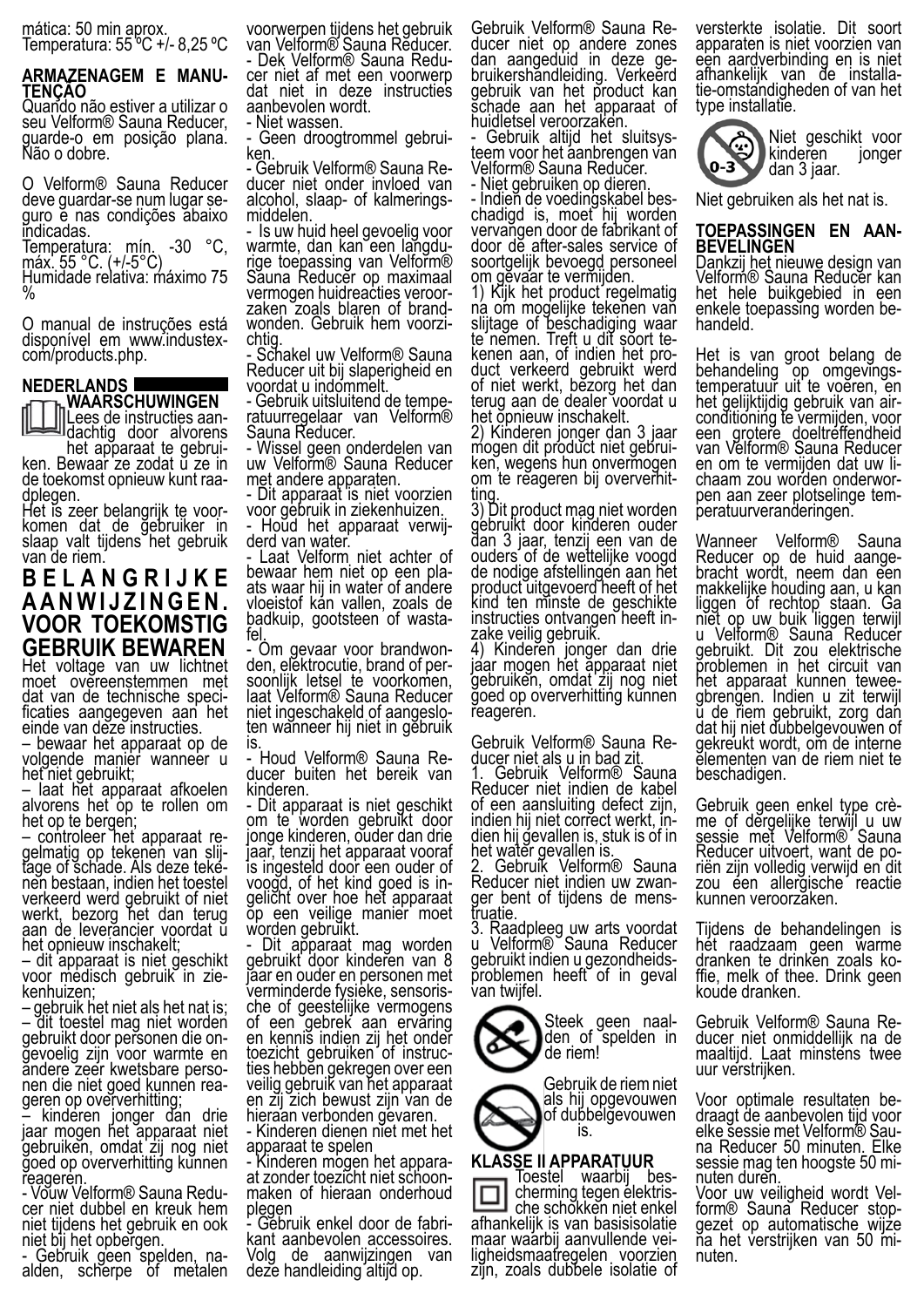mática: 50 min aprox. Temperatura: 55 ºC +/- 8,25 ºC

### **ARMAZENAGEM E MANU- TENÇÃO**

Quando não estiver a utilizar o seu Velform® Sauna Reducer, guarde-o em posição plana. Não o dobre.

O Velform® Sauna Reducer deve guardar-se num lugar se- guro e nas condições abaixo indicadas.

Temperatura: mín. -30 °C, máx. 55 °C. (+/-5°C) Humidade relativa: máximo 75 %

O manual de instruções está disponível em www.industex- com/products.php.

#### **NEDERLANDS**

**WAARSCHUWINGEN** Lees de instructies aan-<br>dachtig door alvorens

het apparaat te gebrui- ken. Bewaar ze zodat u ze in de toekomst opnieuw kunt raa- dplegen.

Het is zeer belangrijk te voor- komen dat de gebruiker in slaap valt tijdens het gebruik van de riem.

**B E L A N G R I J K E A A N W I J Z I N G E N . VOOR TOEKOMSTIG GEBRUIK BEWAREN**

Het voltage van uw lichtnet moet overeenstemmen met dat van de technische speci- ficaties aangegeven aan het einde van deze instructies.

– bewaar het apparaat op de volgende manier wanneer u het niet gebruikt;

– laat het apparaat afkoelen alvorens het op te rollen om het op te bergen;

– controleer het apparaat re- gelmatig op tekenen van slij- tage of schade. Als deze teke- nen bestaan, indien het toestel verkeerd werd gebruikt of niet werkt, bezorg het dan terug aan de leverancier voordat ŭ het opnieuw inschakelt;

– dit apparaat is niet geschikt voor medisch gebruik in zie-<br>kenhuizen;

kenhuizen;<br>– gebruik het niet als het nat is; – dit toestel mag niet worden gebruikt door personen die on-<br>gevoelig zijn voor warmte en ăndere zeer kwetsbare perso-<br>nen die niet goed kunnen rea-<br>geren op oververhitting; geren op oververhitting;<br>- kinderen jonger dan drie

jaar mogen het apparaat niet gebruiken, omdat zij nog niet goed op oververhitting kunnen reageren.

- Vouw Velform® Sauna Redu- cer niet dubbel en kreuk hem niet tijdens het gebruik en ook niet bij het opbergen.

- Gebruik geen spelden, na- alden, scherpe of metalen

voorwerpen tijdens het gebruik van Velform® Sauna Rĕducer.<br>- Dek Velform® Sauna Reducer niet af met een voorwerp dat niet in deze instructies aanbevolen wordt.

- Niet wassen.

- Geen droogtrommel gebrui-<br>ken.<br>- Gebruik Velform® Sauna Re-

- Gebruik Velform® Sauna Re-<br>ducer niet onder invloed van alcohol, slaap- of kalmerings-<br>middelen.

- Is uw huid heel gevoelig voor warmte, dan kan een langdu-<br>rige toepassing van Velform® Săuna Reducer op maximaal vermogen huidreacties veroor-<br>zaken zoals blaren of brand-<br>wonden. Gebruik hem voorzi-

chtig.<br>- Schakel uw Velform® Sauna<br>- Schakel uw Nij slanerigheid en Reducer uit bij slaperigheid en

voordat u indommelt.<br>- Gebruik uitsluitend de tempe-- Gebruik uitsluitend de tempe- ratuurregelaar van Velform® Sauna Reducer.

- Wissel geen onderdelen van uw Velform® Sauna Reducer met andere apparaten.

- Dit apparaat is niet voorzien voor gebruik in ziekenhuizen.

- Houd het apparaat verwij-<br>derd van water. Laat Velform niet achter of

bewaar hem niet op een pla- ats waar hij in water of andere vloeistof kan vallen, zoals de badkuip, gootsteen of wasta-<br>fel.<br>- Om gevaar voor brandwon-

- Om gevaar voor brandwon-<br>den, elektrocutie, brand of per-<br>soonlijk letsel te voorkomen, laat Velform® Sauna Reducer niet ingeschakeld of aangeslo-<br>ten wanneer hij niet in gebruik is.

- Houd Velform® Sauna Re- ducer buiten het bereik van kinderen.

Dit apparaat is niet geschikt om te worden gebruikt door jonge kinderen, ouder dan drie jaar, tenzij het apparaat vooraf is ingesteld door een ouder of voogd, of het kind goed is in-<br>gelicht over hoe het apparaat op een veilige manier moet worden gebruikt.

Dit apparaat mag worden gebruikt door kinderen van 8 jaar en ouder en personen met<br>verminderde fysieke, sensorische of geestelijke vermogens of een gebrek aan ervaring en kennis indien zij het onder toezicht gebruiken of instructies hebben gekregen over een<br>veilig gebruik van het apparaat en zij zich bewust zijn van de

hieraan verbonden gevaren. - Kinderen dienen niet met het apparaat te spelen

- Kinderen mogen het appara- at zonder toezicht niet schoon- maken of hieraan onderhoud

plegen<br>- Gebruik enkel door de fabrikant aanbevolen accessoires.<br>Volg de aanwijzingen van de aanwijzingen van deze handleiding altijd op.

Gebruik Velform® Sauna Re- ducer niet op andere zones dan aangeduid in deze ge-<br>bruikershandleiding. Verkeerd gebruik van het product kan schade aan het apparaat of

huidletsel veroorzaken.<br>- Gebruik altijd het sluitsys-- Gebruik altijd het sluitsys-<br>teem voor het aanbrengen van Velform® Sauna Reducer.

- Niet gebruiken op dieren. - Indieň de voedingskabel bes-<br>chadigd is, moet hij worden vervangen door de fabrikant of door de after-sales service of

soortgelijk bevoegd personeel om gevaar te vermijden. 1) Kijk het product regelmatig na om mogelijke tekenen van slijtage of beschadiging waar te nemen. Treft u dit soort te- kenen aan, of indien het pro- duct verkeerd gebruikt werd of niet werkt, bezorg het dan terug aan de dealer voordat u het opnieuw inschakelt.

2) Kinderen jonger dan 3 jaar mogen dit product niet gebrui-<br>ken, wegens hun onvermogen<br>om te reageren bij oververhitom te reageren bij oververhit-<br>ting.

3) Dit product mag niet worden gebruikt door kinderen ouder dan 3 jaar, tenzij een van de ouders of de wettelijke voogd de nodige afstellingen aan het product uitgevoerd heeft of het kind ten minste de geschikte instructies ontvangen heeft in-<br>zake veilig gebruik.

4) Kinderen jonger dan drie jaar mogen het apparaat niet gebruiken, omdat zij nog niet goed op oververhitting kunnen reageren.

Gebruik Velform® Sauna Re-<br>ducer niet als u in bad zit.

1. Gebruik Velform® Sauna Reducer niet indien de kabel of een aansluiting defect zijn,<br>indien hij niet correct werkt, indien hij gevallen is, stuk is of inhet water gevallen is.

2. Gebruik Velform® Sauna Reducer niet indien uw zwan-<br>ger bent of tijdens de mens-<br>truatie.

3. Raadpleeg uw arts voordat u Velform® Sauna Reducer gebruikt indien u gezondheids- problemen heeft of in geval van twijfel.



Steek geen naal-<br>den of spelden in de riem!

Gebruik de riem niet als hij opgevouwen of dubbelgevouwen is.

### **KLASSE II APPARATUUR**

Toestel waarbij bes- cherming tegen elektris- che schokken niet enkel afhankelijk is van basisisolatie ligheidsmaatregelen voorzien zijn, zoals dubbele isolatie of versterkte isolatie. Dit soort apparaten is niet voorzien van een aardverbinding en is niet afhankelijk van de installa- tie-omstandigheden of van het type installatie.



Niet gebruiken als het nat is.

### **TOEPASSINGEN EN AAN- BEVELINGEN**

Dankzij het nieuwe design van Velform® Sauna Reducer kan het hele buikgebied in een enkele toepassing worden be- handeld.

Het is van groot belang de behandeling op omgevings-<br>temperatuur uit te voeren, en het gelijktijdig gebruik van air-<br>conditioning te vermijden, voor een grotere doeltreffendheid van Velform® Sauna Reducer<br>en om te vermijden dat uw lichaam zou worden onderwor-<br>pen aan zeer plotselinge tem-<br>peratuurveranderingen.

Wanneer Velform® Sauna Reducer op de huid aange- bracht wordt, neem dan een makkelijke houding aan, u kan liggen of rechtop staan. Ga niet op uw buik liggen terwijl u Velform® Sauna Reducer gebruikt. Dit zou elektrische problemen in het circuit van<br>het apparaat kunnen teweehet apparaat kunnen tewee- gbrengen. Indien u zit terwijl  $\ddot{\mathrm{u}}$  de riem gebruikt, zorg dan dat hij niet dubbelgevouwen of gekreukt wordt, om de interne elementen van de riem niet te beschadigen.

Gebruik geen enkel type crè- me of dergelijke terwijl u uw sessie met Velform® Sauna Reducer uitvoert, want de po- riën zijn volledig verwijd en dit riën zijn volledig verwijd en dit<br>zou een allergische reactie kunnen veroorzaken.

Tijdens de behandelingen is het raadzaam geen warme<br>dranken te drinken zoals koffie, melk of thee. Drink geen koude dranken.

Gebruik Velform® Sauna Re-<br>ducer niet onmiddellijk na de maaltijd. Laat minstens twee uur verstrijken.

Voor optimale resultaten be- draagt de aanbevolen tijd voor elke sessie met Velform® Sau- na Reducer 50 minuten. Elke sessie mag ten hoogste 50 mi- nuten duren.

Voor uw veiligheid wordt Vel-<br>form® Sauna Reducer stop-<br>gezet op automatische wijze ña het verstrijken van 50 mi-<br>nuten.